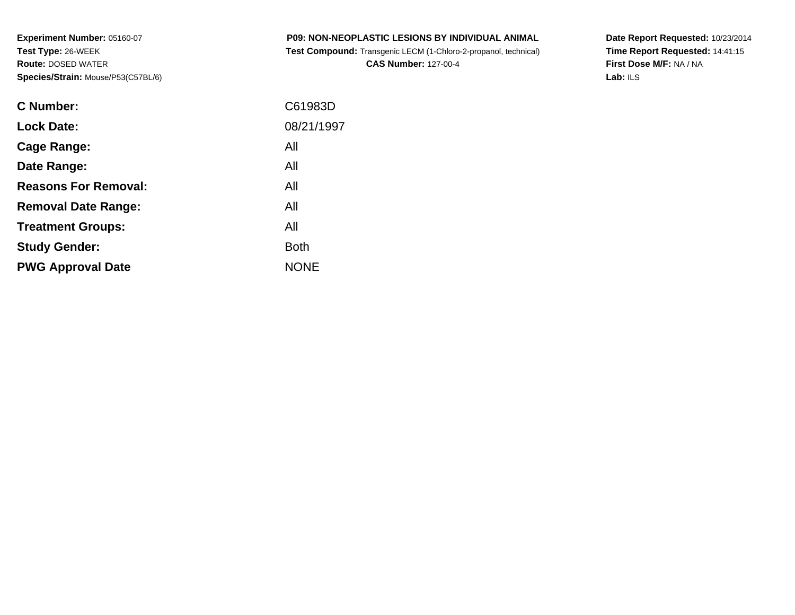**Experiment Number:** 05160-07**Test Type:** 26-WEEK **Route:** DOSED WATER**Species/Strain:** Mouse/P53(C57BL/6)

| <b>P09: NON-NEOPLASTIC LESIONS BY INDIVIDUAL ANIMAL</b>                |  |
|------------------------------------------------------------------------|--|
| <b>Test Compound:</b> Transgenic LECM (1-Chloro-2-propanol, technical) |  |

**CAS Number:** 127-00-4

**Date Report Requested:** 10/23/2014 **Time Report Requested:** 14:41:15**First Dose M/F:** NA / NA**Lab:** ILS

| C61983D     |
|-------------|
| 08/21/1997  |
| All         |
| All         |
| All         |
| All         |
| All         |
| <b>Both</b> |
| <b>NONE</b> |
|             |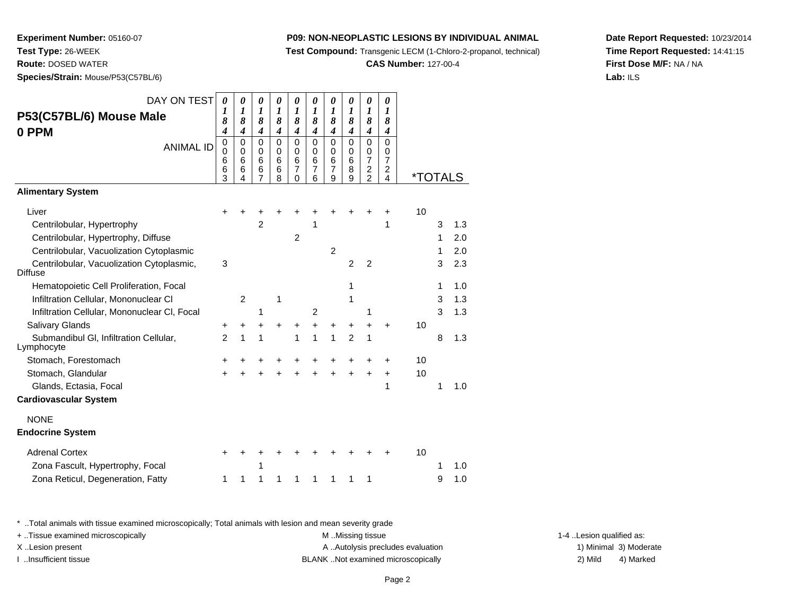**Test Compound:** Transgenic LECM (1-Chloro-2-propanol, technical)

**CAS Number:** 127-00-4

**Date Report Requested:** 10/23/2014**Time Report Requested:** 14:41:15**First Dose M/F:** NA / NA**Lab:** ILS

 **Route:** DOSED WATER**Species/Strain:** Mouse/P53(C57BL/6)

**Experiment Number:** 05160-07

**Test Type:** 26-WEEK

| DAY ON TEST                                                 | 0                | 0                     | 0                | 0                     | 0                          | 0              | 0                | 0                     | 0                                | 0                                |                       |   |     |
|-------------------------------------------------------------|------------------|-----------------------|------------------|-----------------------|----------------------------|----------------|------------------|-----------------------|----------------------------------|----------------------------------|-----------------------|---|-----|
| P53(C57BL/6) Mouse Male                                     | 1<br>8           | $\boldsymbol{l}$<br>8 | 1<br>8           | $\boldsymbol{l}$<br>8 | 1<br>8                     | 1<br>8         | 1<br>8           | $\boldsymbol{l}$<br>8 | $\boldsymbol{l}$<br>8            | $\boldsymbol{l}$<br>8            |                       |   |     |
| 0 PPM                                                       | $\boldsymbol{4}$ | $\boldsymbol{4}$      | $\boldsymbol{4}$ | 4                     | $\boldsymbol{4}$           | 4              | $\boldsymbol{4}$ | $\boldsymbol{4}$      | $\boldsymbol{4}$                 | 4                                |                       |   |     |
| <b>ANIMAL ID</b>                                            | 0                | 0                     | $\mathbf 0$      | $\mathbf 0$           | 0                          | $\mathbf 0$    | $\mathbf 0$      | $\mathbf 0$           | $\mathbf 0$                      | $\mathbf 0$                      |                       |   |     |
|                                                             | 0<br>6           | 0<br>6                | 0<br>6           | 0<br>6                | 0<br>6                     | 0<br>6         | 0<br>6           | 0<br>6                | 0<br>$\overline{7}$              | 0<br>7                           |                       |   |     |
|                                                             | 6<br>3           | 6                     | 6<br>7           | $\,6$<br>8            | $\overline{7}$<br>$\Omega$ | 7<br>6         | 7<br>9           | 8<br>9                | $\overline{c}$<br>$\overline{2}$ | $\overline{c}$<br>$\overline{4}$ | <i><b>*TOTALS</b></i> |   |     |
| <b>Alimentary System</b>                                    |                  |                       |                  |                       |                            |                |                  |                       |                                  |                                  |                       |   |     |
| Liver                                                       |                  |                       |                  |                       |                            |                |                  |                       |                                  |                                  | 10                    |   |     |
| Centrilobular, Hypertrophy                                  |                  |                       | $\overline{2}$   |                       |                            | 1              |                  |                       |                                  | 1                                |                       | 3 | 1.3 |
| Centrilobular, Hypertrophy, Diffuse                         |                  |                       |                  |                       | $\overline{2}$             |                |                  |                       |                                  |                                  |                       | 1 | 2.0 |
| Centrilobular, Vacuolization Cytoplasmic                    |                  |                       |                  |                       |                            |                | $\overline{2}$   |                       |                                  |                                  |                       | 1 | 2.0 |
| Centrilobular, Vacuolization Cytoplasmic,<br><b>Diffuse</b> | 3                |                       |                  |                       |                            |                |                  | $\overline{2}$        | $\overline{2}$                   |                                  |                       | 3 | 2.3 |
| Hematopoietic Cell Proliferation, Focal                     |                  |                       |                  |                       |                            |                |                  | 1                     |                                  |                                  |                       | 1 | 1.0 |
| Infiltration Cellular, Mononuclear CI                       |                  | $\overline{2}$        |                  | 1                     |                            |                |                  | 1                     |                                  |                                  |                       | 3 | 1.3 |
| Infiltration Cellular, Mononuclear CI, Focal                |                  |                       | 1                |                       |                            | $\overline{2}$ |                  |                       | 1                                |                                  |                       | 3 | 1.3 |
| Salivary Glands                                             | +                | +                     |                  |                       | +                          | +              | $\ddot{}$        | +                     | +                                | $\ddot{}$                        | 10                    |   |     |
| Submandibul GI, Infiltration Cellular,<br>Lymphocyte        | $\overline{2}$   | 1                     | 1                |                       | 1                          | 1              | 1                | $\overline{2}$        | 1                                |                                  |                       | 8 | 1.3 |
| Stomach, Forestomach                                        | +                |                       | +                | +                     | +                          | +              | +                | +                     |                                  | ٠                                | 10                    |   |     |
| Stomach, Glandular                                          | $\ddot{}$        |                       |                  |                       |                            |                | ÷                |                       |                                  | $\ddot{}$                        | 10                    |   |     |
| Glands, Ectasia, Focal                                      |                  |                       |                  |                       |                            |                |                  |                       |                                  | 1                                |                       | 1 | 1.0 |
| <b>Cardiovascular System</b>                                |                  |                       |                  |                       |                            |                |                  |                       |                                  |                                  |                       |   |     |
| <b>NONE</b>                                                 |                  |                       |                  |                       |                            |                |                  |                       |                                  |                                  |                       |   |     |
| <b>Endocrine System</b>                                     |                  |                       |                  |                       |                            |                |                  |                       |                                  |                                  |                       |   |     |
| <b>Adrenal Cortex</b>                                       | +                |                       |                  |                       |                            |                |                  |                       |                                  |                                  | 10                    |   |     |
| Zona Fascult, Hypertrophy, Focal                            |                  |                       | 1                |                       |                            |                |                  |                       |                                  |                                  |                       | 1 | 1.0 |
| Zona Reticul, Degeneration, Fatty                           | 1                | 1                     | 1                | 1                     | 1                          | 1              | 1                | 1                     | 1                                |                                  |                       | 9 | 1.0 |

\* ..Total animals with tissue examined microscopically; Total animals with lesion and mean severity grade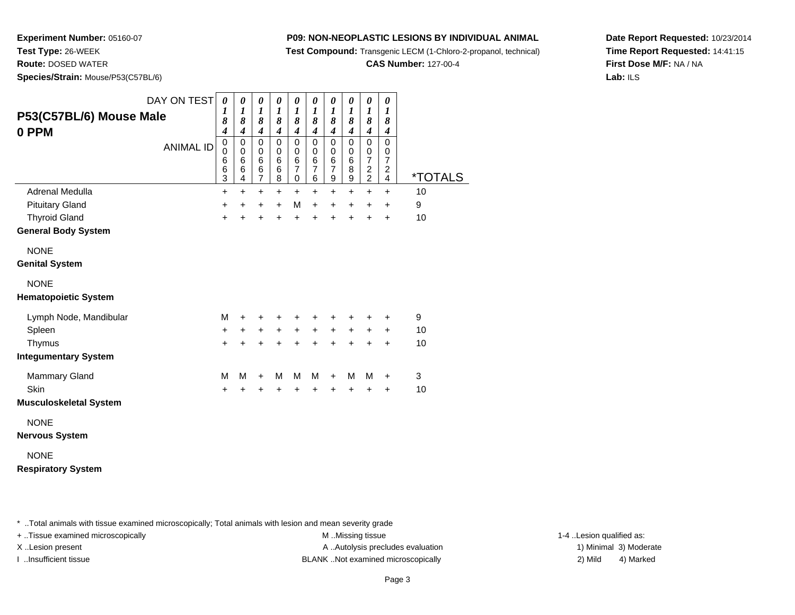**Test Compound:** Transgenic LECM (1-Chloro-2-propanol, technical)

**CAS Number:** 127-00-4

**Date Report Requested:** 10/23/2014**Time Report Requested:** 14:41:15**First Dose M/F:** NA / NA**Lab:** ILS

**Experiment Number:** 05160-07**Test Type:** 26-WEEK**Route:** DOSED WATER

**Species/Strain:** Mouse/P53(C57BL/6)

| P53(C57BL/6) Mouse Male<br>0 PPM                                                   | DAY ON TEST<br><b>ANIMAL ID</b> | $\boldsymbol{\theta}$<br>1<br>8<br>$\overline{\boldsymbol{4}}$<br>$\pmb{0}$<br>$\mathbf 0$<br>6<br>6 | $\boldsymbol{\theta}$<br>$\boldsymbol{l}$<br>8<br>$\overline{\boldsymbol{4}}$<br>0<br>$\mathbf 0$<br>6<br>6 | $\boldsymbol{\theta}$<br>$\boldsymbol{l}$<br>8<br>$\boldsymbol{4}$<br>$\mathbf 0$<br>$\mathbf 0$<br>$\,6$<br>6 | $\boldsymbol{\theta}$<br>$\boldsymbol{l}$<br>8<br>$\boldsymbol{4}$<br>$\mathbf 0$<br>$\mathbf 0$<br>$\,6$<br>6 | $\boldsymbol{\theta}$<br>$\boldsymbol{l}$<br>8<br>$\boldsymbol{4}$<br>$\mathbf 0$<br>0<br>$\,6$<br>$\overline{7}$ | $\boldsymbol{\theta}$<br>$\boldsymbol{l}$<br>8<br>$\boldsymbol{4}$<br>$\mathbf 0$<br>$\mathbf 0$<br>$\,6$<br>$\overline{7}$ | 0<br>$\boldsymbol{l}$<br>8<br>$\boldsymbol{4}$<br>$\mathbf 0$<br>0<br>$\,6$<br>$\overline{7}$ | 0<br>$\boldsymbol{l}$<br>8<br>$\boldsymbol{4}$<br>$\mathbf 0$<br>0<br>$\,6$<br>$\bf8$ | $\boldsymbol{\theta}$<br>$\boldsymbol{l}$<br>8<br>$\boldsymbol{4}$<br>$\mathbf 0$<br>0<br>$\overline{7}$<br>$\overline{c}$ | 0<br>$\boldsymbol{l}$<br>8<br>$\boldsymbol{4}$<br>$\mathbf 0$<br>0<br>$\overline{7}$<br>$\overline{c}$ |                       |
|------------------------------------------------------------------------------------|---------------------------------|------------------------------------------------------------------------------------------------------|-------------------------------------------------------------------------------------------------------------|----------------------------------------------------------------------------------------------------------------|----------------------------------------------------------------------------------------------------------------|-------------------------------------------------------------------------------------------------------------------|-----------------------------------------------------------------------------------------------------------------------------|-----------------------------------------------------------------------------------------------|---------------------------------------------------------------------------------------|----------------------------------------------------------------------------------------------------------------------------|--------------------------------------------------------------------------------------------------------|-----------------------|
|                                                                                    |                                 | 3                                                                                                    | 4                                                                                                           | $\overline{7}$                                                                                                 | 8                                                                                                              | 0                                                                                                                 | $\,6$                                                                                                                       | 9                                                                                             | $\boldsymbol{9}$                                                                      | $\overline{a}$                                                                                                             | 4                                                                                                      | <i><b>*TOTALS</b></i> |
| Adrenal Medulla                                                                    |                                 | $\ddot{}$                                                                                            | $+$                                                                                                         | $\ddot{}$                                                                                                      | $+$                                                                                                            | $+$                                                                                                               | $+$                                                                                                                         | $\ddot{}$                                                                                     | $+$                                                                                   | $+$                                                                                                                        | $\ddot{}$                                                                                              | 10                    |
| <b>Pituitary Gland</b>                                                             |                                 | $\ddot{}$                                                                                            | $\ddot{}$                                                                                                   | +                                                                                                              | $\ddot{}$                                                                                                      | M                                                                                                                 | $\ddot{}$                                                                                                                   | $\ddot{}$                                                                                     | $\ddot{}$                                                                             | $\ddot{}$                                                                                                                  | +                                                                                                      | 9                     |
| <b>Thyroid Gland</b>                                                               |                                 | $\ddot{}$                                                                                            | $\ddot{}$                                                                                                   | +                                                                                                              | $\ddot{}$                                                                                                      | $\ddot{}$                                                                                                         | ÷                                                                                                                           |                                                                                               | $\div$                                                                                | +                                                                                                                          | $\ddot{}$                                                                                              | 10                    |
| <b>General Body System</b>                                                         |                                 |                                                                                                      |                                                                                                             |                                                                                                                |                                                                                                                |                                                                                                                   |                                                                                                                             |                                                                                               |                                                                                       |                                                                                                                            |                                                                                                        |                       |
| <b>NONE</b><br><b>Genital System</b><br><b>NONE</b><br><b>Hematopoietic System</b> |                                 |                                                                                                      |                                                                                                             |                                                                                                                |                                                                                                                |                                                                                                                   |                                                                                                                             |                                                                                               |                                                                                       |                                                                                                                            |                                                                                                        |                       |
| Lymph Node, Mandibular                                                             |                                 | M                                                                                                    | +                                                                                                           | +                                                                                                              | +                                                                                                              | +                                                                                                                 | +                                                                                                                           |                                                                                               |                                                                                       |                                                                                                                            | ٠                                                                                                      | 9                     |
| Spleen                                                                             |                                 | $\ddot{}$                                                                                            | $\ddot{}$                                                                                                   | $\ddot{}$                                                                                                      | $\ddot{}$                                                                                                      | $+$                                                                                                               | $\ddot{}$                                                                                                                   | $+$                                                                                           | $\ddot{}$                                                                             | $+$                                                                                                                        | $\ddot{}$                                                                                              | 10                    |
| Thymus                                                                             |                                 | $\ddot{}$                                                                                            | $\ddot{}$                                                                                                   | $\ddot{}$                                                                                                      | $\ddot{}$                                                                                                      | $\ddot{}$                                                                                                         | $\ddot{}$                                                                                                                   | $\ddot{}$                                                                                     | $\ddot{}$                                                                             | $\ddot{}$                                                                                                                  | $\ddot{}$                                                                                              | 10                    |
| <b>Integumentary System</b>                                                        |                                 |                                                                                                      |                                                                                                             |                                                                                                                |                                                                                                                |                                                                                                                   |                                                                                                                             |                                                                                               |                                                                                       |                                                                                                                            |                                                                                                        |                       |
| <b>Mammary Gland</b><br>Skin<br><b>Musculoskeletal System</b>                      |                                 | М<br>$\ddot{}$                                                                                       | М<br>+                                                                                                      | $\ddot{}$<br>+                                                                                                 | М<br>+                                                                                                         | м<br>+                                                                                                            | М<br>$\ddot{}$                                                                                                              | $\ddot{}$<br>$\ddot{}$                                                                        | M<br>$\ddot{}$                                                                        | м<br>$\ddot{}$                                                                                                             | +<br>+                                                                                                 | 3<br>10               |
| <b>NONE</b><br><b>Nervous System</b>                                               |                                 |                                                                                                      |                                                                                                             |                                                                                                                |                                                                                                                |                                                                                                                   |                                                                                                                             |                                                                                               |                                                                                       |                                                                                                                            |                                                                                                        |                       |

### NONE**Respiratory System**

\* ..Total animals with tissue examined microscopically; Total animals with lesion and mean severity grade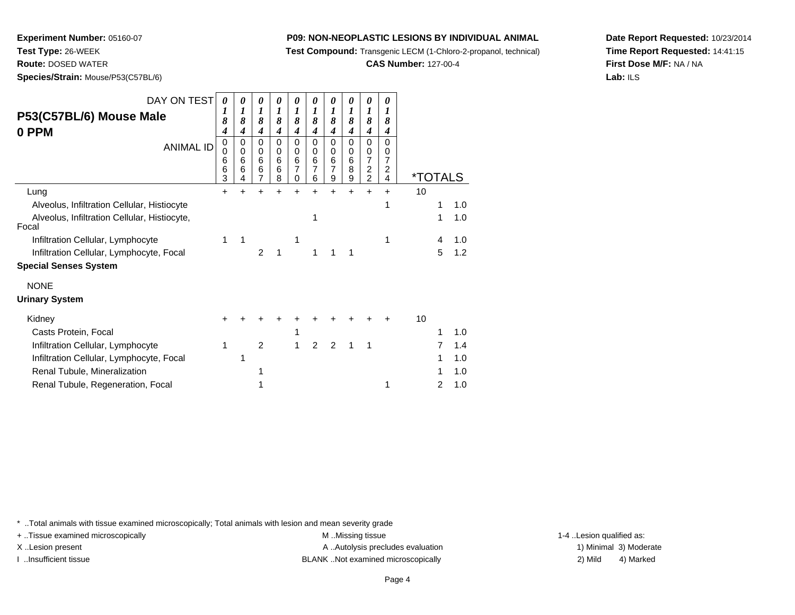**Test Compound:** Transgenic LECM (1-Chloro-2-propanol, technical)

**CAS Number:** 127-00-4

**Date Report Requested:** 10/23/2014**Time Report Requested:** 14:41:15**First Dose M/F:** NA / NA**Lab:** ILS

 **Route:** DOSED WATER**Species/Strain:** Mouse/P53(C57BL/6)

**Experiment Number:** 05160-07

**Test Type:** 26-WEEK

| DAY ON TEST<br>P53(C57BL/6) Mouse Male<br>0 PPM<br><b>ANIMAL ID</b> | 0<br>1<br>8<br>4<br>0<br>0<br>6<br>6<br>3 | 0<br>1<br>8<br>4<br>0<br>0<br>6<br>6<br>4 | 0<br>1<br>8<br>4<br>0<br>0<br>6<br>6<br>7 | 0<br>1<br>8<br>4<br>0<br>0<br>6<br>6<br>8 | 0<br>1<br>8<br>4<br>0<br>0<br>6<br>7<br>0 | 0<br>1<br>8<br>4<br>0<br>0<br>6<br>7<br>6 | 0<br>1<br>8<br>4<br>0<br>0<br>6<br>7<br>9 | 0<br>1<br>8<br>4<br>0<br>0<br>6<br>8<br>9 | 0<br>1<br>8<br>4<br>0<br>0<br>$\overline{7}$<br>$\boldsymbol{2}$<br>$\overline{c}$ | 0<br>1<br>8<br>4<br>0<br>0<br>7<br>2<br>4 | <i><b>*TOTALS</b></i> |   |     |
|---------------------------------------------------------------------|-------------------------------------------|-------------------------------------------|-------------------------------------------|-------------------------------------------|-------------------------------------------|-------------------------------------------|-------------------------------------------|-------------------------------------------|------------------------------------------------------------------------------------|-------------------------------------------|-----------------------|---|-----|
| Lung                                                                | $\div$                                    |                                           |                                           |                                           | +                                         |                                           | +                                         | +                                         | ÷                                                                                  | +                                         | 10                    |   |     |
| Alveolus, Infiltration Cellular, Histiocyte                         |                                           |                                           |                                           |                                           |                                           |                                           |                                           |                                           |                                                                                    |                                           |                       | 1 | 1.0 |
| Alveolus, Infiltration Cellular, Histiocyte,<br>Focal               |                                           |                                           |                                           |                                           |                                           |                                           |                                           |                                           |                                                                                    |                                           |                       | 1 | 1.0 |
| Infiltration Cellular, Lymphocyte                                   | 1                                         | 1                                         |                                           |                                           | 1                                         |                                           |                                           |                                           |                                                                                    | 1                                         |                       | 4 | 1.0 |
| Infiltration Cellular, Lymphocyte, Focal                            |                                           |                                           | $\overline{2}$                            | 1                                         |                                           | 1                                         |                                           | 1                                         |                                                                                    |                                           |                       | 5 | 1.2 |
| <b>Special Senses System</b>                                        |                                           |                                           |                                           |                                           |                                           |                                           |                                           |                                           |                                                                                    |                                           |                       |   |     |
| <b>NONE</b>                                                         |                                           |                                           |                                           |                                           |                                           |                                           |                                           |                                           |                                                                                    |                                           |                       |   |     |
| <b>Urinary System</b>                                               |                                           |                                           |                                           |                                           |                                           |                                           |                                           |                                           |                                                                                    |                                           |                       |   |     |
| Kidney                                                              | +                                         |                                           |                                           |                                           |                                           |                                           |                                           |                                           |                                                                                    |                                           | 10                    |   |     |
| Casts Protein, Focal                                                |                                           |                                           |                                           |                                           | 1                                         |                                           |                                           |                                           |                                                                                    |                                           |                       | 1 | 1.0 |
| Infiltration Cellular, Lymphocyte                                   | 1                                         |                                           | $\overline{2}$                            |                                           | 1                                         | 2                                         | $\overline{2}$                            | 1                                         | 1                                                                                  |                                           |                       |   | 1.4 |
| Infiltration Cellular, Lymphocyte, Focal                            |                                           | 1                                         |                                           |                                           |                                           |                                           |                                           |                                           |                                                                                    |                                           |                       |   | 1.0 |
| Renal Tubule, Mineralization                                        |                                           |                                           |                                           |                                           |                                           |                                           |                                           |                                           |                                                                                    |                                           |                       |   | 1.0 |
| Renal Tubule, Regeneration, Focal                                   |                                           |                                           | 1                                         |                                           |                                           |                                           |                                           |                                           |                                                                                    | 1                                         |                       | 2 | 1.0 |

\* ..Total animals with tissue examined microscopically; Total animals with lesion and mean severity grade

+ ..Tissue examined microscopically examined microscopically examined as:  $M$  ..Missing tissue 1-4 ..Lesion qualified as:

X..Lesion present **A ..Autolysis precludes evaluation** A ..Autolysis precludes evaluation 1) Minimal 3) Moderate I ..Insufficient tissue 2) Mild and the SLANK ..Not examined microscopically and the SLANK ... Insufficient tissue

<sup>1</sup> <sup>2</sup> 1.0

4) Marked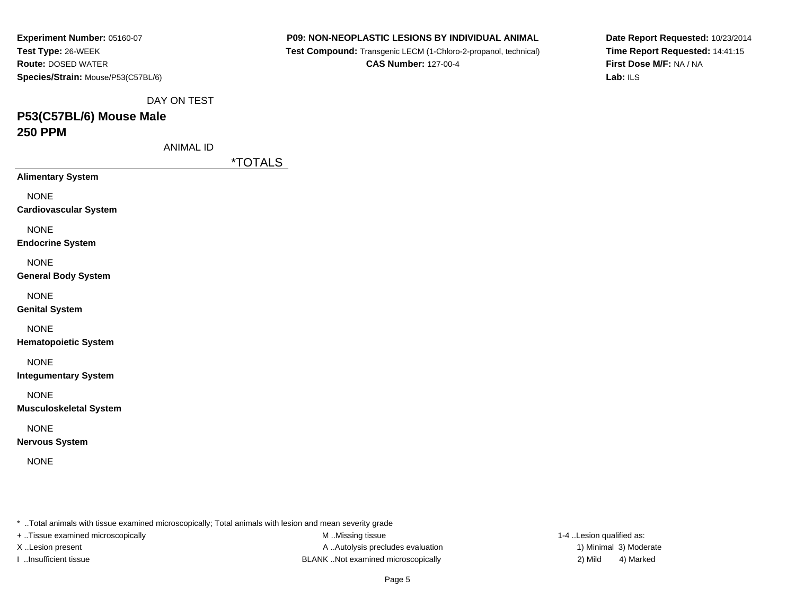| Experiment Number: 05160-07        |
|------------------------------------|
| Test Type: 26-WEEK                 |
| <b>Route: DOSED WATER</b>          |
| Species/Strain: Mouse/P53(C57BL/6) |

 **Test Compound:** Transgenic LECM (1-Chloro-2-propanol, technical)**CAS Number:** 127-00-4

**Date Report Requested:** 10/23/2014**Time Report Requested:** 14:41:15**First Dose M/F:** NA / NA**Lab:** ILS

DAY ON TEST

# **P53(C57BL/6) Mouse Male250 PPM**

ANIMAL ID

\*TOTALS

**Alimentary System**

NONE

**Cardiovascular System**

NONE

**Endocrine System**

NONE

**General Body System**

NONE

**Genital System**

NONE

**Hematopoietic System**

NONE

**Integumentary System**

NONE

**Musculoskeletal System**

NONE

**Nervous System**

NONE

\* ..Total animals with tissue examined microscopically; Total animals with lesion and mean severity grade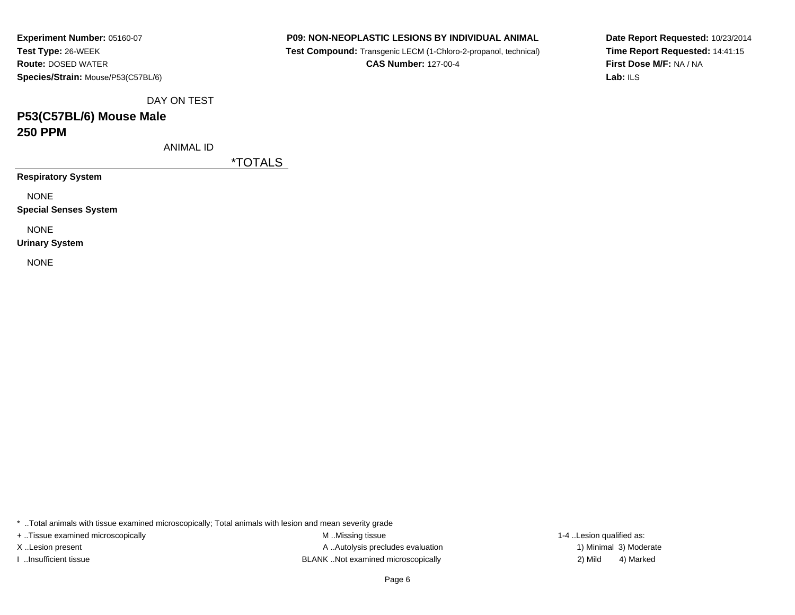**Experiment Number:** 05160-07**Test Type:** 26-WEEK **Route:** DOSED WATER**Species/Strain:** Mouse/P53(C57BL/6)

### **P09: NON-NEOPLASTIC LESIONS BY INDIVIDUAL ANIMAL**

 **Test Compound:** Transgenic LECM (1-Chloro-2-propanol, technical)**CAS Number:** 127-00-4

**Date Report Requested:** 10/23/2014**Time Report Requested:** 14:41:15**First Dose M/F:** NA / NA**Lab:** ILS

DAY ON TEST

## **P53(C57BL/6) Mouse Male250 PPM**

ANIMAL ID

\*TOTALS

**Respiratory System**

NONE

**Special Senses System**

NONE

**Urinary System**

NONE

\* ..Total animals with tissue examined microscopically; Total animals with lesion and mean severity grade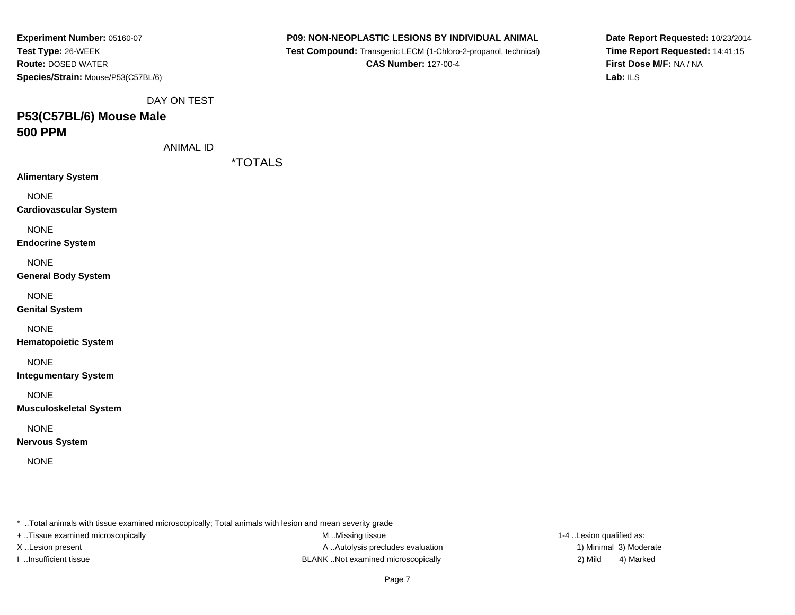| Experiment Number: 05160-07        |
|------------------------------------|
| Test Type: 26-WEEK                 |
| <b>Route: DOSED WATER</b>          |
| Species/Strain: Mouse/P53(C57BL/6) |

 **Test Compound:** Transgenic LECM (1-Chloro-2-propanol, technical)**CAS Number:** 127-00-4

**Date Report Requested:** 10/23/2014**Time Report Requested:** 14:41:15**First Dose M/F:** NA / NA**Lab:** ILS

DAY ON TEST

# **P53(C57BL/6) Mouse Male500 PPM**

ANIMAL ID

\*TOTALS

**Alimentary System**

NONE

**Cardiovascular System**

NONE

**Endocrine System**

NONE

**General Body System**

NONE

**Genital System**

NONE

**Hematopoietic System**

NONE

**Integumentary System**

NONE

**Musculoskeletal System**

NONE

**Nervous System**

NONE

\* ..Total animals with tissue examined microscopically; Total animals with lesion and mean severity grade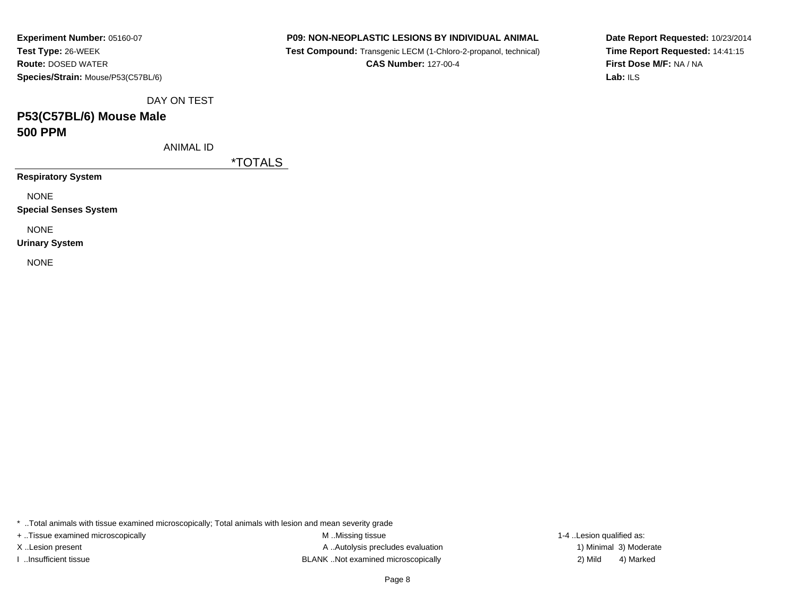| Experiment Number: 05160-07        |
|------------------------------------|
| Test Type: 26-WEEK                 |
| <b>Route: DOSED WATER</b>          |
| Species/Strain: Mouse/P53(C57BL/6) |

 **Test Compound:** Transgenic LECM (1-Chloro-2-propanol, technical)**CAS Number:** 127-00-4

**Date Report Requested:** 10/23/2014**Time Report Requested:** 14:41:15**First Dose M/F:** NA / NA**Lab:** ILS

DAY ON TEST

## **P53(C57BL/6) Mouse Male500 PPM**

ANIMAL ID

\*TOTALS

**Respiratory System**

NONE

**Special Senses System**

NONE

**Urinary System**

NONE

\* ..Total animals with tissue examined microscopically; Total animals with lesion and mean severity grade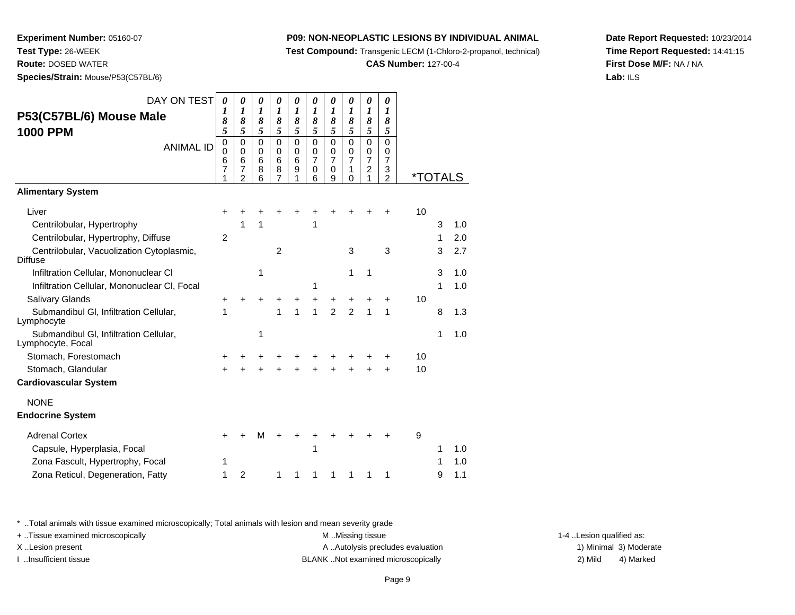**Test Compound:** Transgenic LECM (1-Chloro-2-propanol, technical)

**CAS Number:** 127-00-4

**Date Report Requested:** 10/23/2014**Time Report Requested:** 14:41:15**First Dose M/F:** NA / NA**Lab:** ILS

**Species/Strain:** Mouse/P53(C57BL/6)

**Experiment Number:** 05160-07

**Test Type:** 26-WEEK**Route:** DOSED WATER

| DAY ON TEST<br>P53(C57BL/6) Mouse Male<br><b>1000 PPM</b>   | $\boldsymbol{\theta}$<br>1<br>8<br>5 | 0<br>1<br>8<br>5                                           | 0<br>$\boldsymbol{l}$<br>8<br>5    | 0<br>1<br>8<br>5                              | 0<br>$\boldsymbol{l}$<br>8<br>5 | 0<br>$\boldsymbol{\mathit{1}}$<br>8<br>5     | 0<br>$\boldsymbol{l}$<br>8<br>5              | 0<br>$\boldsymbol{l}$<br>8<br>5              | 0<br>$\boldsymbol{l}$<br>8<br>5                           | 0<br>$\boldsymbol{l}$<br>8<br>5                           |                       |   |     |
|-------------------------------------------------------------|--------------------------------------|------------------------------------------------------------|------------------------------------|-----------------------------------------------|---------------------------------|----------------------------------------------|----------------------------------------------|----------------------------------------------|-----------------------------------------------------------|-----------------------------------------------------------|-----------------------|---|-----|
| <b>ANIMAL ID</b>                                            | $\mathbf 0$<br>0<br>6<br>7           | $\mathbf 0$<br>0<br>$6\phantom{1}6$<br>7<br>$\overline{2}$ | $\overline{0}$<br>0<br>6<br>8<br>6 | $\mathbf 0$<br>0<br>$6\phantom{1}6$<br>8<br>7 | 0<br>0<br>6<br>9<br>1           | $\mathbf 0$<br>0<br>$\overline{7}$<br>0<br>6 | $\mathbf 0$<br>0<br>$\overline{7}$<br>0<br>9 | $\mathbf 0$<br>0<br>$\overline{7}$<br>1<br>0 | $\mathbf 0$<br>0<br>$\overline{7}$<br>$\overline{c}$<br>1 | $\mathbf 0$<br>0<br>$\overline{7}$<br>3<br>$\overline{2}$ | <i><b>*TOTALS</b></i> |   |     |
| <b>Alimentary System</b>                                    |                                      |                                                            |                                    |                                               |                                 |                                              |                                              |                                              |                                                           |                                                           |                       |   |     |
| Liver                                                       | +                                    |                                                            |                                    |                                               |                                 |                                              |                                              |                                              |                                                           | +                                                         | 10                    |   |     |
| Centrilobular, Hypertrophy                                  |                                      | 1                                                          | 1                                  |                                               |                                 | 1                                            |                                              |                                              |                                                           |                                                           |                       | 3 | 1.0 |
| Centrilobular, Hypertrophy, Diffuse                         | $\overline{2}$                       |                                                            |                                    |                                               |                                 |                                              |                                              |                                              |                                                           |                                                           |                       | 1 | 2.0 |
| Centrilobular, Vacuolization Cytoplasmic,<br><b>Diffuse</b> |                                      |                                                            |                                    | $\overline{2}$                                |                                 |                                              |                                              | 3                                            |                                                           | 3                                                         |                       | 3 | 2.7 |
| Infiltration Cellular, Mononuclear CI                       |                                      |                                                            | 1                                  |                                               |                                 |                                              |                                              | 1                                            | 1                                                         |                                                           |                       | 3 | 1.0 |
| Infiltration Cellular, Mononuclear CI, Focal                |                                      |                                                            |                                    |                                               |                                 | 1                                            |                                              |                                              |                                                           |                                                           |                       | 1 | 1.0 |
| Salivary Glands                                             |                                      |                                                            |                                    |                                               |                                 | +                                            | +                                            | +                                            | +                                                         | $\ddot{}$                                                 | 10                    |   |     |
| Submandibul GI, Infiltration Cellular,<br>Lymphocyte        | 1                                    |                                                            |                                    | 1                                             | 1                               | 1                                            | $\overline{2}$                               | $\overline{2}$                               | 1                                                         | 1                                                         |                       | 8 | 1.3 |
| Submandibul GI, Infiltration Cellular,<br>Lymphocyte, Focal |                                      |                                                            | 1                                  |                                               |                                 |                                              |                                              |                                              |                                                           |                                                           |                       | 1 | 1.0 |
| Stomach, Forestomach                                        |                                      |                                                            |                                    |                                               |                                 |                                              |                                              |                                              |                                                           |                                                           | 10                    |   |     |
| Stomach, Glandular                                          |                                      |                                                            |                                    |                                               |                                 |                                              |                                              |                                              |                                                           | ÷                                                         | 10                    |   |     |
| <b>Cardiovascular System</b>                                |                                      |                                                            |                                    |                                               |                                 |                                              |                                              |                                              |                                                           |                                                           |                       |   |     |
| <b>NONE</b>                                                 |                                      |                                                            |                                    |                                               |                                 |                                              |                                              |                                              |                                                           |                                                           |                       |   |     |
| <b>Endocrine System</b>                                     |                                      |                                                            |                                    |                                               |                                 |                                              |                                              |                                              |                                                           |                                                           |                       |   |     |
| <b>Adrenal Cortex</b>                                       |                                      |                                                            | м                                  |                                               |                                 |                                              |                                              |                                              |                                                           |                                                           | 9                     |   |     |
| Capsule, Hyperplasia, Focal                                 |                                      |                                                            |                                    |                                               |                                 | 1                                            |                                              |                                              |                                                           |                                                           |                       | 1 | 1.0 |
| Zona Fascult, Hypertrophy, Focal                            | 1                                    |                                                            |                                    |                                               |                                 |                                              |                                              |                                              |                                                           |                                                           |                       | 1 | 1.0 |
| Zona Reticul, Degeneration, Fatty                           | 1                                    | $\overline{c}$                                             |                                    | 1                                             | 1                               | 1                                            | 1                                            | 1                                            | 1                                                         | 1                                                         |                       | 9 | 1.1 |

\* ..Total animals with tissue examined microscopically; Total animals with lesion and mean severity grade

+ ..Tissue examined microscopically examined microscopically examined as:  $M$  ..Missing tissue 1-4 ..Lesion qualified as:

X..Lesion present **A ..Autolysis precludes evaluation** A ..Autolysis precludes evaluation 1) Minimal 3) Moderate I ..Insufficient tissue BLANK ..Not examined microscopically 2) Mild 4) Marked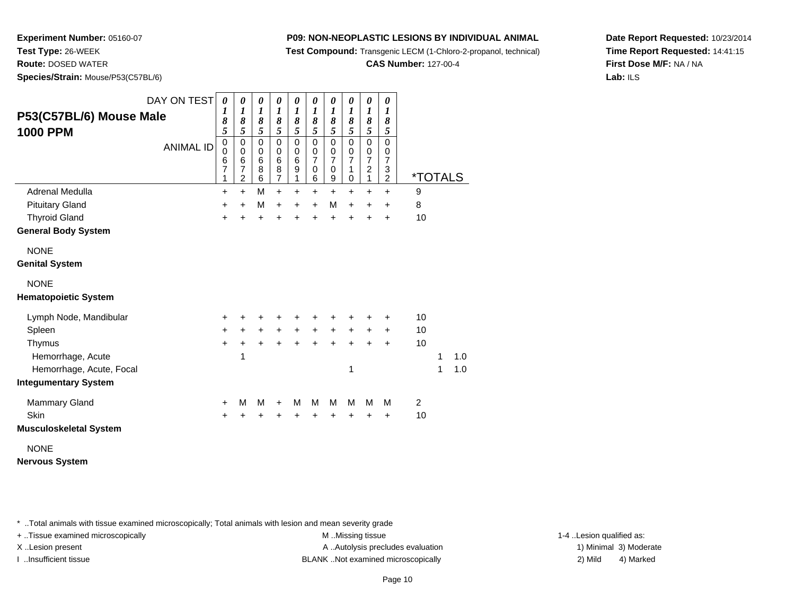**Test Compound:** Transgenic LECM (1-Chloro-2-propanol, technical)

**CAS Number:** 127-00-4

**Date Report Requested:** 10/23/2014**Time Report Requested:** 14:41:15**First Dose M/F:** NA / NA**Lab:** ILS

**Experiment Number:** 05160-07**Test Type:** 26-WEEK **Route:** DOSED WATER**Species/Strain:** Mouse/P53(C57BL/6)

| P53(C57BL/6) Mouse Male     | DAY ON TEST      | 0<br>1<br>8                                  | 0<br>$\boldsymbol{l}$<br>8                                                 | 0<br>1<br>8                              | 0<br>$\boldsymbol{l}$<br>8                         | 0<br>1<br>8                                           | 0<br>$\boldsymbol{l}$<br>8                                | 0<br>$\boldsymbol{l}$<br>8                        | 0<br>$\boldsymbol{l}$<br>8                              | 0<br>1<br>8                                        | 0<br>$\boldsymbol{l}$<br>8                                     |                       |   |     |
|-----------------------------|------------------|----------------------------------------------|----------------------------------------------------------------------------|------------------------------------------|----------------------------------------------------|-------------------------------------------------------|-----------------------------------------------------------|---------------------------------------------------|---------------------------------------------------------|----------------------------------------------------|----------------------------------------------------------------|-----------------------|---|-----|
| 1000 PPM                    | <b>ANIMAL ID</b> | 5<br>$\pmb{0}$<br>$\mathbf 0$<br>6<br>7<br>1 | 5<br>$\pmb{0}$<br>$\mathbf 0$<br>$\,6$<br>$\overline{7}$<br>$\overline{2}$ | 5<br>$\mathbf 0$<br>0<br>$\,6$<br>8<br>6 | 5<br>$\mathbf 0$<br>$\mathbf 0$<br>$\,6$<br>8<br>7 | 5<br>$\pmb{0}$<br>0<br>$\,6$<br>$\boldsymbol{9}$<br>1 | 5<br>$\mathbf 0$<br>$\pmb{0}$<br>$\overline{7}$<br>0<br>6 | 5<br>$\pmb{0}$<br>$\frac{0}{7}$<br>$\pmb{0}$<br>9 | 5<br>$\pmb{0}$<br>$\pmb{0}$<br>$\overline{7}$<br>1<br>0 | 5<br>$\mathsf 0$<br>$\frac{0}{7}$<br>$\frac{2}{1}$ | 5<br>$\mathbf 0$<br>0<br>$\overline{7}$<br>3<br>$\overline{2}$ | <i><b>*TOTALS</b></i> |   |     |
| Adrenal Medulla             |                  | +                                            | $\ddot{}$                                                                  | M                                        | $\ddot{}$                                          | $\ddot{}$                                             | $\ddot{}$                                                 | $\ddot{}$                                         | $\ddot{}$                                               | $\ddot{}$                                          | $\ddot{}$                                                      | 9                     |   |     |
| <b>Pituitary Gland</b>      |                  | +                                            | $\ddot{}$                                                                  | М                                        | $\ddot{}$                                          | +                                                     | $\ddot{}$                                                 | M                                                 | $\ddot{}$                                               | +                                                  | +                                                              | 8                     |   |     |
| <b>Thyroid Gland</b>        |                  | $\ddot{}$                                    | $\ddot{}$                                                                  | $\ddot{}$                                | $\ddot{}$                                          | $\ddot{}$                                             | $\ddot{}$                                                 | $\ddot{}$                                         | $\ddot{}$                                               | $\ddot{}$                                          | $\ddot{}$                                                      | 10                    |   |     |
| <b>General Body System</b>  |                  |                                              |                                                                            |                                          |                                                    |                                                       |                                                           |                                                   |                                                         |                                                    |                                                                |                       |   |     |
| <b>NONE</b>                 |                  |                                              |                                                                            |                                          |                                                    |                                                       |                                                           |                                                   |                                                         |                                                    |                                                                |                       |   |     |
| <b>Genital System</b>       |                  |                                              |                                                                            |                                          |                                                    |                                                       |                                                           |                                                   |                                                         |                                                    |                                                                |                       |   |     |
| <b>NONE</b>                 |                  |                                              |                                                                            |                                          |                                                    |                                                       |                                                           |                                                   |                                                         |                                                    |                                                                |                       |   |     |
| <b>Hematopoietic System</b> |                  |                                              |                                                                            |                                          |                                                    |                                                       |                                                           |                                                   |                                                         |                                                    |                                                                |                       |   |     |
| Lymph Node, Mandibular      |                  | +                                            | +                                                                          | +                                        | +                                                  | +                                                     |                                                           | +                                                 |                                                         |                                                    | +                                                              | 10                    |   |     |
| Spleen                      |                  | $\ddot{}$                                    | $+$                                                                        | $+$                                      | $+$                                                | $\ddot{}$                                             | $+$                                                       | $\ddot{}$                                         | $+$                                                     | $\ddot{}$                                          | $\ddot{}$                                                      | 10                    |   |     |
| Thymus                      |                  | $\ddot{}$                                    | $\ddot{}$                                                                  | $\ddot{}$                                | $\ddot{}$                                          | $+$                                                   | $\ddot{}$                                                 | $+$                                               | $\ddot{}$                                               | $\ddot{}$                                          | $\ddot{}$                                                      | 10                    |   |     |
| Hemorrhage, Acute           |                  |                                              | 1                                                                          |                                          |                                                    |                                                       |                                                           |                                                   |                                                         |                                                    |                                                                |                       | 1 | 1.0 |
| Hemorrhage, Acute, Focal    |                  |                                              |                                                                            |                                          |                                                    |                                                       |                                                           |                                                   | 1                                                       |                                                    |                                                                |                       | 1 | 1.0 |
| <b>Integumentary System</b> |                  |                                              |                                                                            |                                          |                                                    |                                                       |                                                           |                                                   |                                                         |                                                    |                                                                |                       |   |     |
| <b>Mammary Gland</b>        |                  | $\ddot{}$                                    | м                                                                          | М                                        | +                                                  | M                                                     | M                                                         | M                                                 | м                                                       | M                                                  | м                                                              | $\overline{c}$        |   |     |
| Skin                        |                  | $\ddot{}$                                    | +                                                                          | $\ddot{}$                                | +                                                  | +                                                     | +                                                         | +                                                 | +                                                       | +                                                  | +                                                              | 10                    |   |     |
| Musculoskeletal System      |                  |                                              |                                                                            |                                          |                                                    |                                                       |                                                           |                                                   |                                                         |                                                    |                                                                |                       |   |     |
| <b>NONE</b>                 |                  |                                              |                                                                            |                                          |                                                    |                                                       |                                                           |                                                   |                                                         |                                                    |                                                                |                       |   |     |
| Nervous System              |                  |                                              |                                                                            |                                          |                                                    |                                                       |                                                           |                                                   |                                                         |                                                    |                                                                |                       |   |     |

\* ..Total animals with tissue examined microscopically; Total animals with lesion and mean severity grade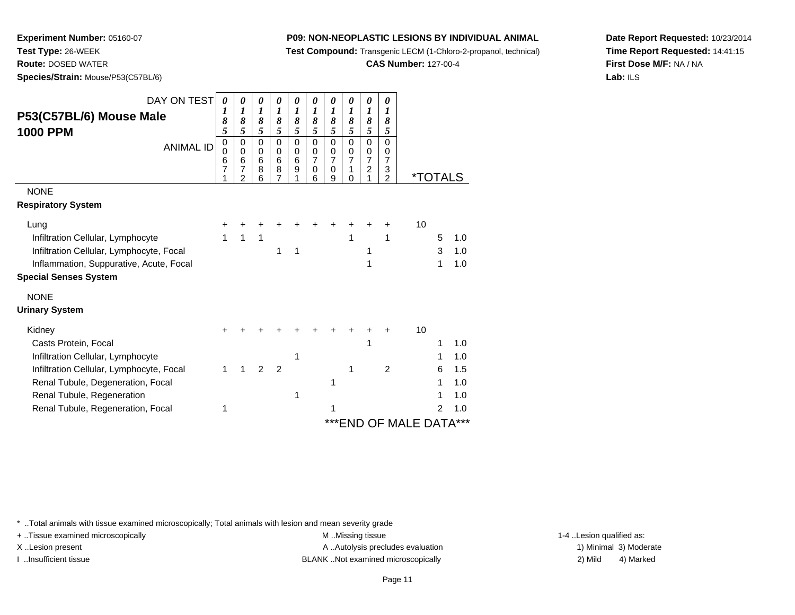**Test Compound:** Transgenic LECM (1-Chloro-2-propanol, technical)

**CAS Number:** 127-00-4

**Date Report Requested:** 10/23/2014**Time Report Requested:** 14:41:15**First Dose M/F:** NA / NA**Lab:** ILS

**Experiment Number:** 05160-07**Test Type:** 26-WEEK **Route:** DOSED WATER**Species/Strain:** Mouse/P53(C57BL/6)

| DAY ON TEST                                | 0<br>1           | 0<br>1                                 | 0<br>1                          | 0<br>1                  | 0<br>1                     | 0<br>1                                    | 0<br>1                             | 0<br>1                       | 0<br>1                             | 0<br>1                                    |                         |   |     |
|--------------------------------------------|------------------|----------------------------------------|---------------------------------|-------------------------|----------------------------|-------------------------------------------|------------------------------------|------------------------------|------------------------------------|-------------------------------------------|-------------------------|---|-----|
| P53(C57BL/6) Mouse Male<br><b>1000 PPM</b> | 8<br>5           | 8<br>5                                 | 8<br>5                          | 8<br>5                  | 8<br>5                     | 8<br>5                                    | 8<br>5                             | 8<br>5                       | 8<br>5                             | 8<br>5                                    |                         |   |     |
| <b>ANIMAL ID</b>                           | 0<br>0<br>6<br>7 | $\mathbf 0$<br>$\Omega$<br>6<br>7<br>2 | $\mathbf 0$<br>0<br>6<br>8<br>6 | $\Omega$<br>0<br>6<br>8 | $\mathbf 0$<br>0<br>6<br>9 | $\Omega$<br>0<br>$\overline{7}$<br>0<br>6 | 0<br>0<br>$\overline{7}$<br>0<br>9 | $\Omega$<br>0<br>7<br>1<br>U | 0<br>0<br>7<br>$\overline{c}$<br>1 | $\Omega$<br>0<br>7<br>3<br>$\overline{2}$ | <i><b>*TOTALS</b></i>   |   |     |
| <b>NONE</b>                                |                  |                                        |                                 |                         |                            |                                           |                                    |                              |                                    |                                           |                         |   |     |
| <b>Respiratory System</b>                  |                  |                                        |                                 |                         |                            |                                           |                                    |                              |                                    |                                           |                         |   |     |
| Lung                                       |                  |                                        |                                 |                         |                            |                                           |                                    |                              |                                    | +                                         | 10                      |   |     |
| Infiltration Cellular, Lymphocyte          | 1                | 1                                      | 1                               |                         |                            |                                           |                                    | 1                            |                                    | 1                                         |                         | 5 | 1.0 |
| Infiltration Cellular, Lymphocyte, Focal   |                  |                                        |                                 | 1                       | 1                          |                                           |                                    |                              | 1                                  |                                           |                         | 3 | 1.0 |
| Inflammation, Suppurative, Acute, Focal    |                  |                                        |                                 |                         |                            |                                           |                                    |                              | 1                                  |                                           |                         | 1 | 1.0 |
| <b>Special Senses System</b>               |                  |                                        |                                 |                         |                            |                                           |                                    |                              |                                    |                                           |                         |   |     |
| <b>NONE</b>                                |                  |                                        |                                 |                         |                            |                                           |                                    |                              |                                    |                                           |                         |   |     |
| <b>Urinary System</b>                      |                  |                                        |                                 |                         |                            |                                           |                                    |                              |                                    |                                           |                         |   |     |
| Kidney                                     |                  |                                        |                                 |                         |                            |                                           |                                    |                              |                                    |                                           | 10                      |   |     |
| Casts Protein, Focal                       |                  |                                        |                                 |                         |                            |                                           |                                    |                              | 1                                  |                                           |                         |   | 1.0 |
| Infiltration Cellular, Lymphocyte          |                  |                                        |                                 |                         | 1                          |                                           |                                    |                              |                                    |                                           |                         |   | 1.0 |
| Infiltration Cellular, Lymphocyte, Focal   | 1                |                                        | $\mathfrak{p}$                  | $\mathfrak{p}$          |                            |                                           |                                    | 1                            |                                    | $\overline{2}$                            |                         | 6 | 1.5 |
| Renal Tubule, Degeneration, Focal          |                  |                                        |                                 |                         |                            |                                           | 1                                  |                              |                                    |                                           |                         | 1 | 1.0 |
| Renal Tubule, Regeneration                 |                  |                                        |                                 |                         | 1                          |                                           |                                    |                              |                                    |                                           |                         |   | 1.0 |
| Renal Tubule, Regeneration, Focal          | 1                |                                        |                                 |                         |                            |                                           | 1                                  |                              |                                    |                                           |                         | 2 | 1.0 |
|                                            |                  |                                        |                                 |                         |                            |                                           |                                    |                              |                                    |                                           | *** END OF MALE DATA*** |   |     |

\* ..Total animals with tissue examined microscopically; Total animals with lesion and mean severity grade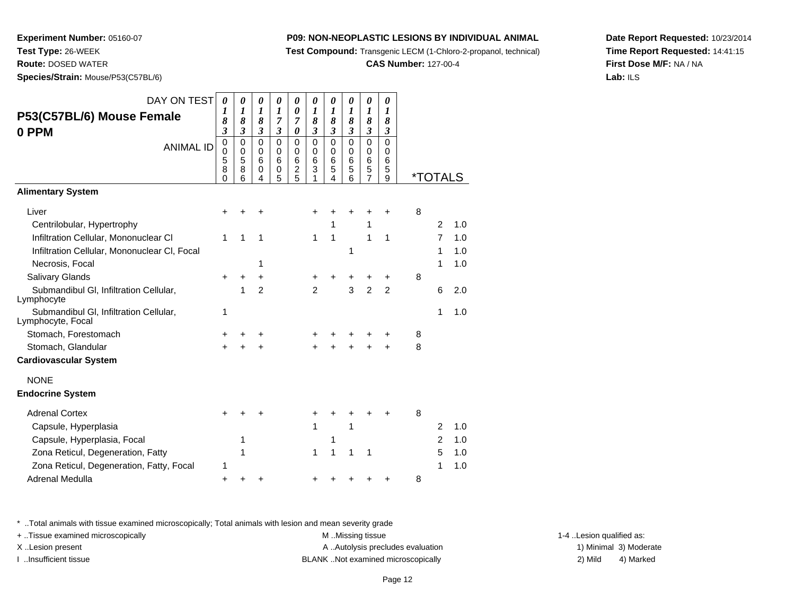**Test Compound:** Transgenic LECM (1-Chloro-2-propanol, technical)

**CAS Number:** 127-00-4

**Date Report Requested:** 10/23/2014**Time Report Requested:** 14:41:15**First Dose M/F:** NA / NA**Lab:** ILS

**Test Type:** 26-WEEK**Route:** DOSED WATER

**Experiment Number:** 05160-07

**Species/Strain:** Mouse/P53(C57BL/6)

| DAY ON TEST<br>P53(C57BL/6) Mouse Female<br>0 PPM<br><b>ANIMAL ID</b> | 0<br>1<br>8<br>3<br>0<br>$\mathbf 0$<br>5<br>8 | 0<br>1<br>8<br>$\mathfrak{z}$<br>$\Omega$<br>$\mathbf 0$<br>5<br>8 | 0<br>1<br>8<br>$\mathfrak{z}$<br>$\Omega$<br>0<br>6<br>0 | 0<br>1<br>7<br>3<br>$\mathbf 0$<br>$\Omega$<br>6<br>0 | 0<br>0<br>7<br>0<br>0<br>0<br>6<br>$\overline{c}$ | 0<br>1<br>8<br>3<br>0<br>$\Omega$<br>6<br>3 | 0<br>1<br>8<br>3<br>$\mathbf 0$<br>$\mathbf 0$<br>6<br>5 | 0<br>1<br>8<br>3<br>$\mathbf 0$<br>$\mathbf 0$<br>6<br>5 | 0<br>1<br>8<br>$\mathfrak{z}$<br>$\overline{0}$<br>0<br>6<br>5 | 0<br>1<br>8<br>3<br>$\mathbf 0$<br>$\Omega$<br>6<br>5 |   |                       |     |
|-----------------------------------------------------------------------|------------------------------------------------|--------------------------------------------------------------------|----------------------------------------------------------|-------------------------------------------------------|---------------------------------------------------|---------------------------------------------|----------------------------------------------------------|----------------------------------------------------------|----------------------------------------------------------------|-------------------------------------------------------|---|-----------------------|-----|
| <b>Alimentary System</b>                                              | 0                                              | 6                                                                  | 4                                                        | 5                                                     | 5                                                 | 1                                           | 4                                                        | 6                                                        | $\overline{7}$                                                 | 9                                                     |   | <i><b>*TOTALS</b></i> |     |
|                                                                       |                                                |                                                                    |                                                          |                                                       |                                                   |                                             |                                                          |                                                          |                                                                |                                                       |   |                       |     |
| Liver                                                                 | +                                              |                                                                    |                                                          |                                                       |                                                   | +                                           | +                                                        |                                                          |                                                                | ٠                                                     | 8 |                       |     |
| Centrilobular, Hypertrophy                                            |                                                |                                                                    |                                                          |                                                       |                                                   |                                             | 1                                                        |                                                          | 1                                                              |                                                       |   | 2                     | 1.0 |
| Infiltration Cellular, Mononuclear CI                                 | 1                                              | 1                                                                  | 1                                                        |                                                       |                                                   | 1                                           | $\mathbf{1}$                                             |                                                          | 1                                                              | 1                                                     |   | 7                     | 1.0 |
| Infiltration Cellular, Mononuclear CI, Focal                          |                                                |                                                                    |                                                          |                                                       |                                                   |                                             |                                                          | 1                                                        |                                                                |                                                       |   | 1                     | 1.0 |
| Necrosis, Focal                                                       |                                                |                                                                    | 1                                                        |                                                       |                                                   |                                             |                                                          |                                                          |                                                                |                                                       |   | 1                     | 1.0 |
| Salivary Glands                                                       | +                                              | +                                                                  | +                                                        |                                                       |                                                   | +                                           | +                                                        | +                                                        |                                                                | +                                                     | 8 |                       |     |
| Submandibul GI, Infiltration Cellular,<br>Lymphocyte                  |                                                | 1                                                                  | $\overline{2}$                                           |                                                       |                                                   | $\mathfrak{p}$                              |                                                          | 3                                                        | $\overline{2}$                                                 | $\overline{2}$                                        |   | 6                     | 2.0 |
| Submandibul GI, Infiltration Cellular,<br>Lymphocyte, Focal           | 1                                              |                                                                    |                                                          |                                                       |                                                   |                                             |                                                          |                                                          |                                                                |                                                       |   | 1                     | 1.0 |
| Stomach, Forestomach                                                  | +                                              |                                                                    | ٠                                                        |                                                       |                                                   | +                                           |                                                          |                                                          |                                                                |                                                       | 8 |                       |     |
| Stomach, Glandular                                                    | +                                              |                                                                    |                                                          |                                                       |                                                   |                                             | $\ddot{}$                                                |                                                          |                                                                | $\div$                                                | 8 |                       |     |
| <b>Cardiovascular System</b>                                          |                                                |                                                                    |                                                          |                                                       |                                                   |                                             |                                                          |                                                          |                                                                |                                                       |   |                       |     |
| <b>NONE</b>                                                           |                                                |                                                                    |                                                          |                                                       |                                                   |                                             |                                                          |                                                          |                                                                |                                                       |   |                       |     |
| <b>Endocrine System</b>                                               |                                                |                                                                    |                                                          |                                                       |                                                   |                                             |                                                          |                                                          |                                                                |                                                       |   |                       |     |
| <b>Adrenal Cortex</b>                                                 |                                                |                                                                    |                                                          |                                                       |                                                   | +                                           | +                                                        |                                                          | +                                                              |                                                       | 8 |                       |     |
| Capsule, Hyperplasia                                                  |                                                |                                                                    |                                                          |                                                       |                                                   | 1                                           |                                                          | 1                                                        |                                                                |                                                       |   | 2                     | 1.0 |
| Capsule, Hyperplasia, Focal                                           |                                                | 1                                                                  |                                                          |                                                       |                                                   |                                             | 1                                                        |                                                          |                                                                |                                                       |   | $\overline{2}$        | 1.0 |
| Zona Reticul, Degeneration, Fatty                                     |                                                | 1                                                                  |                                                          |                                                       |                                                   | 1                                           | 1                                                        | 1                                                        | 1                                                              |                                                       |   | 5                     | 1.0 |
| Zona Reticul, Degeneration, Fatty, Focal                              | 1                                              |                                                                    |                                                          |                                                       |                                                   |                                             |                                                          |                                                          |                                                                |                                                       |   | 1                     | 1.0 |
| <b>Adrenal Medulla</b>                                                | $\ddot{}$                                      | +                                                                  |                                                          |                                                       |                                                   | +                                           | +                                                        |                                                          |                                                                |                                                       | 8 |                       |     |

\* ..Total animals with tissue examined microscopically; Total animals with lesion and mean severity grade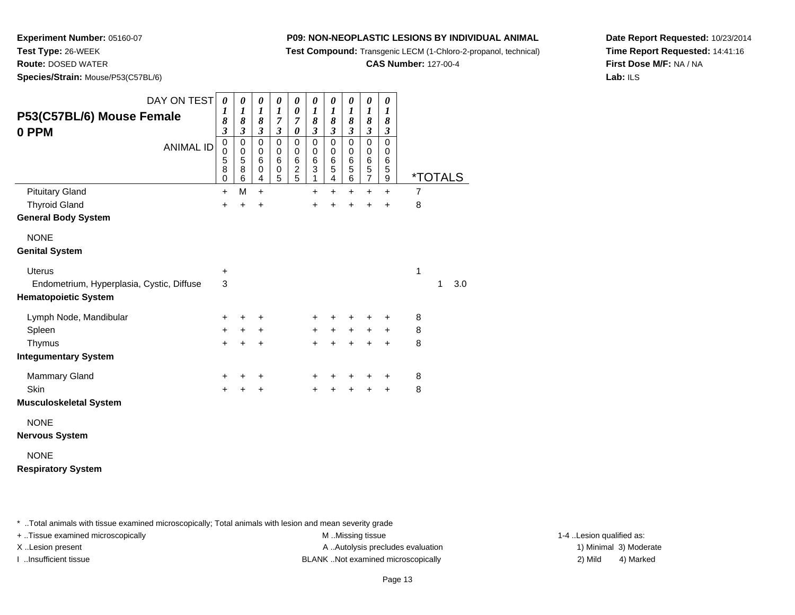**Test Compound:** Transgenic LECM (1-Chloro-2-propanol, technical)

**CAS Number:** 127-00-4

**Date Report Requested:** 10/23/2014**Time Report Requested:** 14:41:16**First Dose M/F:** NA / NA**Lab:** ILS

**Experiment Number:** 05160-07**Test Type:** 26-WEEK**Route:** DOSED WATER

**Species/Strain:** Mouse/P53(C57BL/6)

| DAY ON TEST<br>P53(C57BL/6) Mouse Female<br>0 PPM                        | $\boldsymbol{\theta}$<br>$\boldsymbol{l}$<br>8<br>$\boldsymbol{\beta}$ | $\boldsymbol{\theta}$<br>$\boldsymbol{l}$<br>8<br>$\boldsymbol{\beta}$ | 0<br>$\boldsymbol{l}$<br>8<br>$\boldsymbol{\mathfrak{z}}$ | 0<br>$\boldsymbol{l}$<br>$\overline{7}$<br>$\boldsymbol{\beta}$ | $\pmb{\theta}$<br>$\pmb{\theta}$<br>$\boldsymbol{7}$<br>$\boldsymbol{\theta}$ | 0<br>$\boldsymbol{l}$<br>8<br>$\mathfrak{z}$              | 0<br>$\boldsymbol{l}$<br>8<br>$\mathfrak{z}$                          | $\boldsymbol{\theta}$<br>$\boldsymbol{l}$<br>8<br>$\boldsymbol{\beta}$ | 0<br>1<br>8<br>$\boldsymbol{\mathfrak{z}}$ | 0<br>$\boldsymbol{l}$<br>8<br>$\boldsymbol{\beta}$ |                |                       |     |
|--------------------------------------------------------------------------|------------------------------------------------------------------------|------------------------------------------------------------------------|-----------------------------------------------------------|-----------------------------------------------------------------|-------------------------------------------------------------------------------|-----------------------------------------------------------|-----------------------------------------------------------------------|------------------------------------------------------------------------|--------------------------------------------|----------------------------------------------------|----------------|-----------------------|-----|
| <b>ANIMAL ID</b>                                                         | $\mathbf 0$<br>0<br>5<br>$\overline{8}$<br>0                           | $\mathbf 0$<br>$\mathbf 0$<br>$\mathbf 5$<br>$\bf8$<br>6               | $\mathbf 0$<br>$\mathbf 0$<br>6<br>$\mathbf 0$<br>4       | $\mathbf 0$<br>0<br>6<br>$\,0\,$<br>5                           | 0<br>$\pmb{0}$<br>$\,6$<br>$\frac{2}{5}$                                      | 0<br>$\pmb{0}$<br>$\,6$<br>$\ensuremath{\mathsf{3}}$<br>1 | $\mathbf 0$<br>$\pmb{0}$<br>$\,6$<br>$\overline{5}$<br>$\overline{4}$ | $\mathbf 0$<br>0<br>$\,6$<br>$\mathbf 5$<br>$\,6$                      | $\mathbf 0$<br>0<br>6<br>$\frac{5}{7}$     | $\Omega$<br>0<br>6<br>5<br>9                       |                | <i><b>*TOTALS</b></i> |     |
| <b>Pituitary Gland</b>                                                   | $\ddot{}$                                                              | M                                                                      | $+$                                                       |                                                                 |                                                                               | +                                                         | $\ddot{}$                                                             | $\ddot{}$                                                              | +                                          | $\ddot{}$                                          | $\overline{7}$ |                       |     |
| <b>Thyroid Gland</b>                                                     | $\ddot{}$                                                              | $\ddot{}$                                                              | +                                                         |                                                                 |                                                                               | $\ddot{}$                                                 | $\ddot{}$                                                             | $\ddot{}$                                                              | $\ddot{}$                                  | $\ddot{}$                                          | 8              |                       |     |
| <b>General Body System</b>                                               |                                                                        |                                                                        |                                                           |                                                                 |                                                                               |                                                           |                                                                       |                                                                        |                                            |                                                    |                |                       |     |
| <b>NONE</b>                                                              |                                                                        |                                                                        |                                                           |                                                                 |                                                                               |                                                           |                                                                       |                                                                        |                                            |                                                    |                |                       |     |
| <b>Genital System</b>                                                    |                                                                        |                                                                        |                                                           |                                                                 |                                                                               |                                                           |                                                                       |                                                                        |                                            |                                                    |                |                       |     |
| <b>Uterus</b>                                                            | +                                                                      |                                                                        |                                                           |                                                                 |                                                                               |                                                           |                                                                       |                                                                        |                                            |                                                    | 1              |                       |     |
| Endometrium, Hyperplasia, Cystic, Diffuse<br><b>Hematopoietic System</b> | 3                                                                      |                                                                        |                                                           |                                                                 |                                                                               |                                                           |                                                                       |                                                                        |                                            |                                                    |                | 1                     | 3.0 |
| Lymph Node, Mandibular                                                   | +                                                                      | +                                                                      | +                                                         |                                                                 |                                                                               | +                                                         |                                                                       |                                                                        | +                                          | +                                                  | 8              |                       |     |
| Spleen                                                                   | ٠                                                                      | ٠                                                                      | +                                                         |                                                                 |                                                                               | $\ddot{}$                                                 | $\ddot{}$                                                             | $\ddot{}$                                                              | +                                          | +                                                  | 8              |                       |     |
| Thymus                                                                   | $\ddot{}$                                                              | $\ddot{}$                                                              | +                                                         |                                                                 |                                                                               | $\ddot{}$                                                 | $\ddot{}$                                                             |                                                                        | $\ddot{}$                                  | $\ddot{}$                                          | 8              |                       |     |
| <b>Integumentary System</b>                                              |                                                                        |                                                                        |                                                           |                                                                 |                                                                               |                                                           |                                                                       |                                                                        |                                            |                                                    |                |                       |     |
| <b>Mammary Gland</b>                                                     | +                                                                      | +                                                                      | +                                                         |                                                                 |                                                                               | +                                                         | +                                                                     | +                                                                      | +                                          | +                                                  | 8              |                       |     |
| Skin                                                                     | +                                                                      | +                                                                      | +                                                         |                                                                 |                                                                               | +                                                         |                                                                       |                                                                        | $\ddot{}$                                  | $\ddot{}$                                          | 8              |                       |     |
| <b>Musculoskeletal System</b>                                            |                                                                        |                                                                        |                                                           |                                                                 |                                                                               |                                                           |                                                                       |                                                                        |                                            |                                                    |                |                       |     |
| <b>NONE</b><br><b>Nervous System</b>                                     |                                                                        |                                                                        |                                                           |                                                                 |                                                                               |                                                           |                                                                       |                                                                        |                                            |                                                    |                |                       |     |
| <b>NONE</b>                                                              |                                                                        |                                                                        |                                                           |                                                                 |                                                                               |                                                           |                                                                       |                                                                        |                                            |                                                    |                |                       |     |

## **Respiratory System**

\* ..Total animals with tissue examined microscopically; Total animals with lesion and mean severity grade

+ ..Tissue examined microscopically examined microscopically examined as:  $M$  ..Missing tissue 1-4 ..Lesion qualified as: X..Lesion present **A ..Autolysis precludes evaluation** A ..Autolysis precludes evaluation 1) Minimal 3) Moderate

I ..Insufficient tissue BLANK ..Not examined microscopically 2) Mild 4) Marked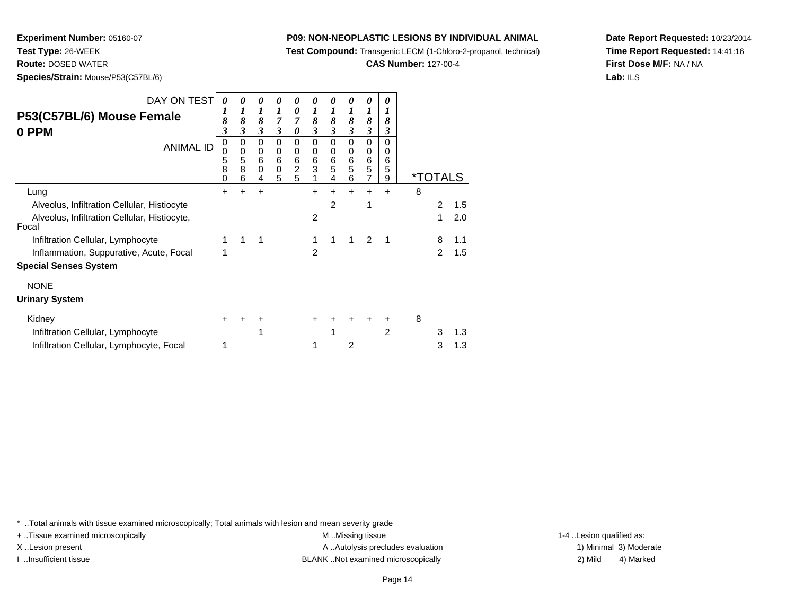**Test Compound:** Transgenic LECM (1-Chloro-2-propanol, technical)

**CAS Number:** 127-00-4

**Date Report Requested:** 10/23/2014**Time Report Requested:** 14:41:16**First Dose M/F:** NA / NA**Lab:** ILS

**Species/Strain:** Mouse/P53(C57BL/6)

**Experiment Number:** 05160-07

**Test Type:** 26-WEEK**Route:** DOSED WATER

| DAY ON TEST<br>P53(C57BL/6) Mouse Female<br>0 PPM<br><b>ANIMAL ID</b> | $\theta$<br>8<br>3<br>$\Omega$<br>0<br>5<br>8<br>0 | 0<br>1<br>8<br>3<br>0<br>0<br>5<br>8<br>6 | 0<br>$\boldsymbol{l}$<br>8<br>3<br>0<br>0<br>$\,6\,$<br>$\Omega$<br>4 | 0<br>1<br>7<br>3<br>0<br>0<br>$6\phantom{1}6$<br>0<br>5 | 0<br>$\boldsymbol{\theta}$<br>7<br>0<br>$\mathbf 0$<br>0<br>$\,6$<br>$\overline{c}$<br>5 | 0<br>1<br>8<br>3<br>0<br>0<br>6<br>3 | 0<br>1<br>8<br>3<br>0<br>0<br>6<br>5<br>4 | 0<br>1<br>8<br>3<br>0<br>0<br>$\,6$<br>5<br>6 | 0<br>1<br>8<br>3<br>$\mathbf 0$<br>0<br>$\,6$<br>5<br>$\overline{7}$ | 0<br>1<br>8<br>3<br>$\Omega$<br>0<br>6<br>5<br>9 |   | <i><b>*TOTALS</b></i> |     |
|-----------------------------------------------------------------------|----------------------------------------------------|-------------------------------------------|-----------------------------------------------------------------------|---------------------------------------------------------|------------------------------------------------------------------------------------------|--------------------------------------|-------------------------------------------|-----------------------------------------------|----------------------------------------------------------------------|--------------------------------------------------|---|-----------------------|-----|
| Lung                                                                  | +                                                  | +                                         | $\div$                                                                |                                                         |                                                                                          | +                                    | $\div$                                    | ÷                                             | +                                                                    | $\div$                                           | 8 |                       |     |
| Alveolus, Infiltration Cellular, Histiocyte                           |                                                    |                                           |                                                                       |                                                         |                                                                                          |                                      | 2                                         |                                               | 1                                                                    |                                                  |   | $\overline{2}$        | 1.5 |
| Alveolus, Infiltration Cellular, Histiocyte,<br>Focal                 |                                                    |                                           |                                                                       |                                                         |                                                                                          | 2                                    |                                           |                                               |                                                                      |                                                  |   | 1                     | 2.0 |
| Infiltration Cellular, Lymphocyte                                     | 1                                                  | 1                                         | 1                                                                     |                                                         |                                                                                          | 1                                    |                                           |                                               | 2                                                                    | 1                                                |   | 8                     | 1.1 |
| Inflammation, Suppurative, Acute, Focal                               | 1                                                  |                                           |                                                                       |                                                         |                                                                                          | $\overline{2}$                       |                                           |                                               |                                                                      |                                                  |   | $\mathcal{P}$         | 1.5 |
| <b>Special Senses System</b>                                          |                                                    |                                           |                                                                       |                                                         |                                                                                          |                                      |                                           |                                               |                                                                      |                                                  |   |                       |     |
| <b>NONE</b>                                                           |                                                    |                                           |                                                                       |                                                         |                                                                                          |                                      |                                           |                                               |                                                                      |                                                  |   |                       |     |
| <b>Urinary System</b>                                                 |                                                    |                                           |                                                                       |                                                         |                                                                                          |                                      |                                           |                                               |                                                                      |                                                  |   |                       |     |
| Kidney                                                                | ÷                                                  |                                           | ٠                                                                     |                                                         |                                                                                          | +                                    |                                           |                                               |                                                                      | ٠                                                | 8 |                       |     |
| Infiltration Cellular, Lymphocyte                                     |                                                    |                                           | 1                                                                     |                                                         |                                                                                          |                                      |                                           |                                               |                                                                      | 2                                                |   | 3                     | 1.3 |
| Infiltration Cellular, Lymphocyte, Focal                              | 1                                                  |                                           |                                                                       |                                                         |                                                                                          |                                      |                                           | 2                                             |                                                                      |                                                  |   | 3                     | 1.3 |

\* ..Total animals with tissue examined microscopically; Total animals with lesion and mean severity grade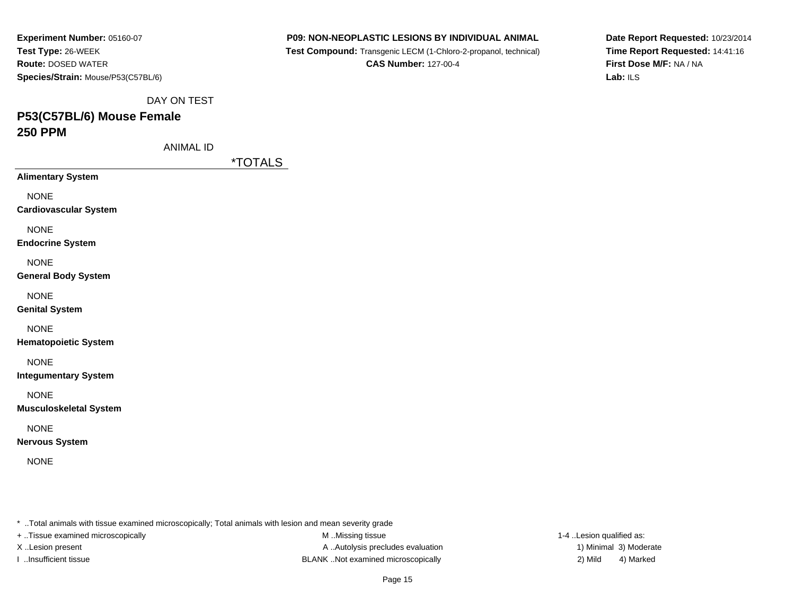| Experiment Number: 05160-07        |
|------------------------------------|
| Test Type: 26-WEEK                 |
| <b>Route: DOSED WATER</b>          |
| Species/Strain: Mouse/P53(C57BL/6) |

 **Test Compound:** Transgenic LECM (1-Chloro-2-propanol, technical)**CAS Number:** 127-00-4

**Date Report Requested:** 10/23/2014**Time Report Requested:** 14:41:16**First Dose M/F:** NA / NA**Lab:** ILS

DAY ON TEST

# **P53(C57BL/6) Mouse Female250 PPM**

ANIMAL ID

\*TOTALS

**Alimentary System**

NONE

**Cardiovascular System**

NONE

**Endocrine System**

NONE

**General Body System**

NONE

**Genital System**

NONE

**Hematopoietic System**

NONE

**Integumentary System**

NONE

**Musculoskeletal System**

NONE

**Nervous System**

NONE

\* ..Total animals with tissue examined microscopically; Total animals with lesion and mean severity grade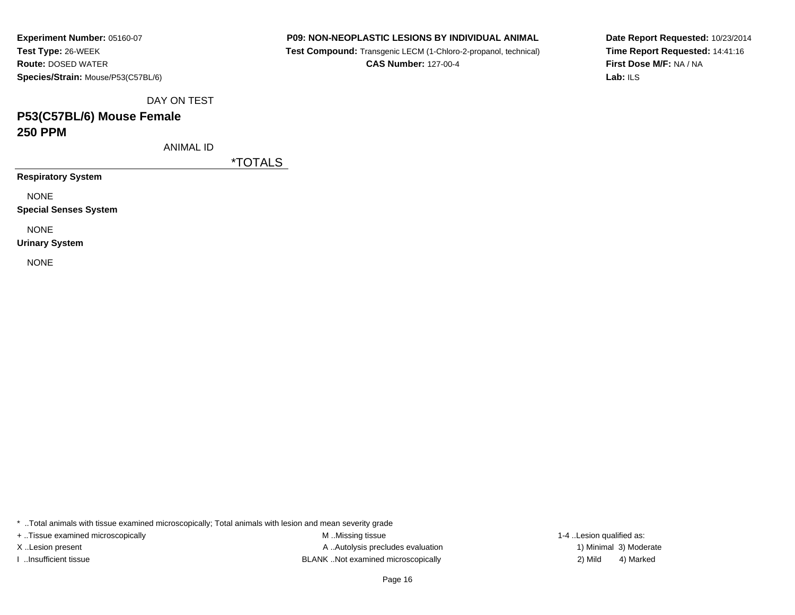**Experiment Number:** 05160-07**Test Type:** 26-WEEK **Route:** DOSED WATER**Species/Strain:** Mouse/P53(C57BL/6)

### **P09: NON-NEOPLASTIC LESIONS BY INDIVIDUAL ANIMAL**

 **Test Compound:** Transgenic LECM (1-Chloro-2-propanol, technical)**CAS Number:** 127-00-4

**Date Report Requested:** 10/23/2014**Time Report Requested:** 14:41:16**First Dose M/F:** NA / NA**Lab:** ILS

DAY ON TEST

## **P53(C57BL/6) Mouse Female250 PPM**

ANIMAL ID

\*TOTALS

**Respiratory System**

NONE

**Special Senses System**

NONE

**Urinary System**

NONE

\* ..Total animals with tissue examined microscopically; Total animals with lesion and mean severity grade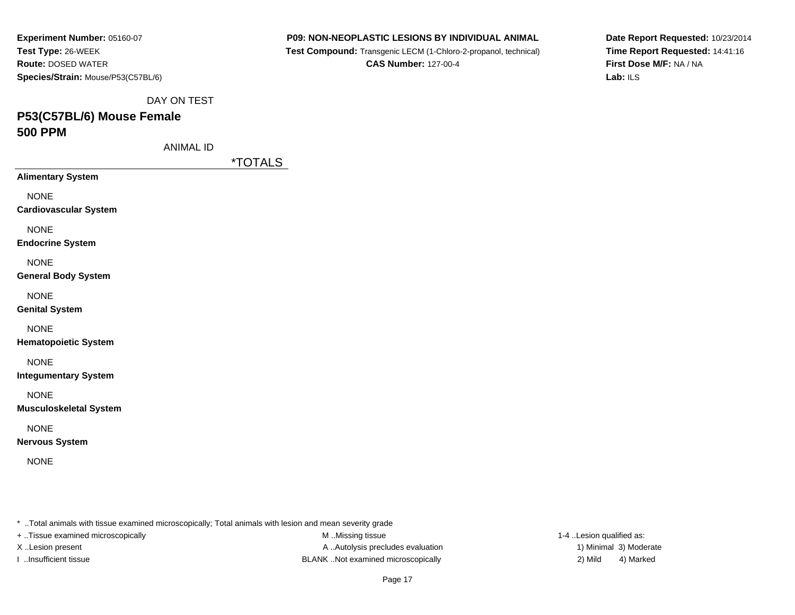| Experiment Number: 05160-07        |
|------------------------------------|
| Test Type: 26-WEEK                 |
| <b>Route: DOSED WATER</b>          |
| Species/Strain: Mouse/P53(C57BL/6) |

 **Test Compound:** Transgenic LECM (1-Chloro-2-propanol, technical)**CAS Number:** 127-00-4

**Date Report Requested:** 10/23/2014**Time Report Requested:** 14:41:16**First Dose M/F:** NA / NA**Lab:** ILS

DAY ON TEST

## **P53(C57BL/6) Mouse Female500 PPM**

ANIMAL ID

\*TOTALS

**Alimentary System**

NONE

**Cardiovascular System**

NONE

**Endocrine System**

NONE

**General Body System**

NONE

**Genital System**

NONE

**Hematopoietic System**

NONE

**Integumentary System**

NONE

**Musculoskeletal System**

NONE

**Nervous System**

NONE

\* ..Total animals with tissue examined microscopically; Total animals with lesion and mean severity grade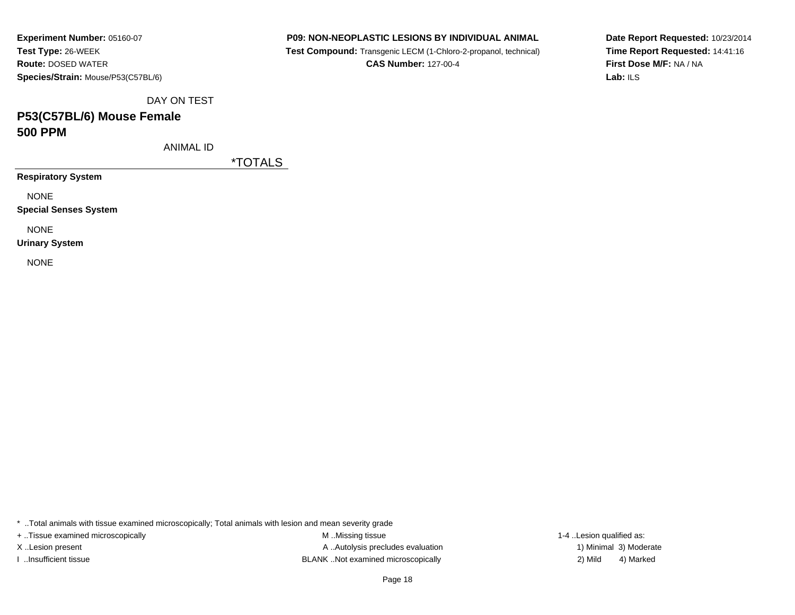**Experiment Number:** 05160-07**Test Type:** 26-WEEK **Route:** DOSED WATER**Species/Strain:** Mouse/P53(C57BL/6)

### **P09: NON-NEOPLASTIC LESIONS BY INDIVIDUAL ANIMAL**

 **Test Compound:** Transgenic LECM (1-Chloro-2-propanol, technical)**CAS Number:** 127-00-4

**Date Report Requested:** 10/23/2014**Time Report Requested:** 14:41:16**First Dose M/F:** NA / NA**Lab:** ILS

DAY ON TEST

## **P53(C57BL/6) Mouse Female500 PPM**

ANIMAL ID

\*TOTALS

**Respiratory System**

NONE

**Special Senses System**

NONE

**Urinary System**

NONE

\* ..Total animals with tissue examined microscopically; Total animals with lesion and mean severity grade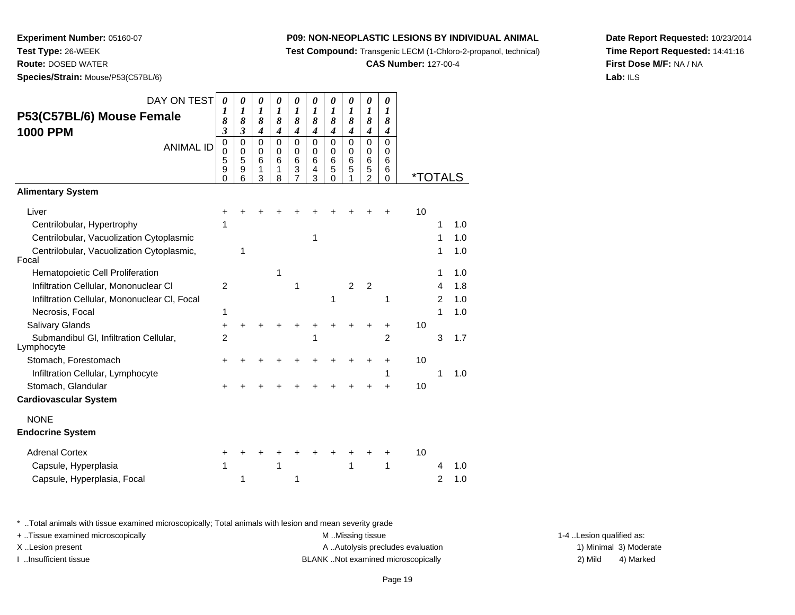**Test Compound:** Transgenic LECM (1-Chloro-2-propanol, technical)

**CAS Number:** 127-00-4

**Date Report Requested:** 10/23/2014**Time Report Requested:** 14:41:16**First Dose M/F:** NA / NA**Lab:** ILS

 **Route:** DOSED WATER**Species/Strain:** Mouse/P53(C57BL/6)

**Experiment Number:** 05160-07

**Test Type:** 26-WEEK

| DAY ON TEST<br>P53(C57BL/6) Mouse Female<br><b>1000 PPM</b> | $\boldsymbol{\theta}$<br>1<br>8<br>3   | 0<br>1<br>8<br>$\overline{\mathbf{3}}$ | 0<br>$\boldsymbol{l}$<br>8<br>$\boldsymbol{4}$ | 0<br>1<br>8<br>$\overline{\mathbf{4}}$ | 0<br>1<br>8<br>$\boldsymbol{4}$              | 0<br>1<br>8<br>$\overline{\boldsymbol{4}}$ | 0<br>1<br>8<br>$\overline{\boldsymbol{4}}$          | 0<br>1<br>8<br>$\boldsymbol{4}$      | 0<br>1<br>8<br>$\overline{\boldsymbol{4}}$ | 0<br>$\boldsymbol{l}$<br>8<br>$\boldsymbol{4}$ |                       |                |     |
|-------------------------------------------------------------|----------------------------------------|----------------------------------------|------------------------------------------------|----------------------------------------|----------------------------------------------|--------------------------------------------|-----------------------------------------------------|--------------------------------------|--------------------------------------------|------------------------------------------------|-----------------------|----------------|-----|
| <b>ANIMAL ID</b>                                            | 0<br>$\mathbf 0$<br>5<br>9<br>$\Omega$ | 0<br>$\mathbf 0$<br>5<br>9<br>6        | $\mathbf 0$<br>$\mathbf 0$<br>6<br>1<br>3      | $\Omega$<br>$\mathbf 0$<br>6<br>1<br>8 | $\mathbf 0$<br>0<br>6<br>3<br>$\overline{7}$ | $\mathbf 0$<br>$\mathbf 0$<br>6<br>4<br>3  | $\mathbf 0$<br>$\mathbf 0$<br>6<br>5<br>$\mathbf 0$ | $\mathbf 0$<br>$\mathbf 0$<br>6<br>5 | 0<br>0<br>6<br>5<br>$\overline{2}$         | $\Omega$<br>$\Omega$<br>6<br>6<br>$\Omega$     | <i><b>*TOTALS</b></i> |                |     |
| <b>Alimentary System</b>                                    |                                        |                                        |                                                |                                        |                                              |                                            |                                                     |                                      |                                            |                                                |                       |                |     |
| Liver                                                       | +                                      |                                        |                                                |                                        |                                              |                                            |                                                     |                                      |                                            |                                                | 10                    |                |     |
| Centrilobular, Hypertrophy                                  | 1                                      |                                        |                                                |                                        |                                              |                                            |                                                     |                                      |                                            |                                                |                       | 1              | 1.0 |
| Centrilobular, Vacuolization Cytoplasmic                    |                                        |                                        |                                                |                                        |                                              | 1                                          |                                                     |                                      |                                            |                                                |                       | 1              | 1.0 |
| Centrilobular, Vacuolization Cytoplasmic,<br>Focal          |                                        | 1                                      |                                                |                                        |                                              |                                            |                                                     |                                      |                                            |                                                |                       | 1              | 1.0 |
| Hematopoietic Cell Proliferation                            |                                        |                                        |                                                | 1                                      |                                              |                                            |                                                     |                                      |                                            |                                                |                       | 1              | 1.0 |
| Infiltration Cellular, Mononuclear CI                       | $\overline{2}$                         |                                        |                                                |                                        | 1                                            |                                            |                                                     | $\overline{2}$                       | $\overline{2}$                             |                                                |                       | 4              | 1.8 |
| Infiltration Cellular, Mononuclear CI, Focal                |                                        |                                        |                                                |                                        |                                              |                                            | 1                                                   |                                      |                                            | 1                                              |                       | 2              | 1.0 |
| Necrosis, Focal                                             | 1                                      |                                        |                                                |                                        |                                              |                                            |                                                     |                                      |                                            |                                                |                       | 1              | 1.0 |
| Salivary Glands                                             | +                                      |                                        |                                                |                                        |                                              |                                            |                                                     |                                      | +                                          | +                                              | 10                    |                |     |
| Submandibul GI, Infiltration Cellular,<br>Lymphocyte        | $\overline{2}$                         |                                        |                                                |                                        |                                              | 1                                          |                                                     |                                      |                                            | $\overline{2}$                                 |                       | 3              | 1.7 |
| Stomach, Forestomach                                        | +                                      |                                        |                                                |                                        |                                              |                                            |                                                     |                                      |                                            | +                                              | 10                    |                |     |
| Infiltration Cellular, Lymphocyte                           |                                        |                                        |                                                |                                        |                                              |                                            |                                                     |                                      |                                            | 1                                              |                       | 1              | 1.0 |
| Stomach, Glandular                                          |                                        |                                        |                                                |                                        |                                              |                                            |                                                     |                                      |                                            |                                                | 10                    |                |     |
| <b>Cardiovascular System</b>                                |                                        |                                        |                                                |                                        |                                              |                                            |                                                     |                                      |                                            |                                                |                       |                |     |
| <b>NONE</b>                                                 |                                        |                                        |                                                |                                        |                                              |                                            |                                                     |                                      |                                            |                                                |                       |                |     |
| <b>Endocrine System</b>                                     |                                        |                                        |                                                |                                        |                                              |                                            |                                                     |                                      |                                            |                                                |                       |                |     |
| <b>Adrenal Cortex</b>                                       | +                                      |                                        |                                                |                                        |                                              |                                            |                                                     |                                      |                                            | +                                              | 10                    |                |     |
| Capsule, Hyperplasia                                        | 1                                      |                                        |                                                | 1                                      |                                              |                                            |                                                     | 1                                    |                                            | 1                                              |                       | 4              | 1.0 |
| Capsule, Hyperplasia, Focal                                 |                                        | 1                                      |                                                |                                        | 1                                            |                                            |                                                     |                                      |                                            |                                                |                       | $\overline{2}$ | 1.0 |

\* ..Total animals with tissue examined microscopically; Total animals with lesion and mean severity grade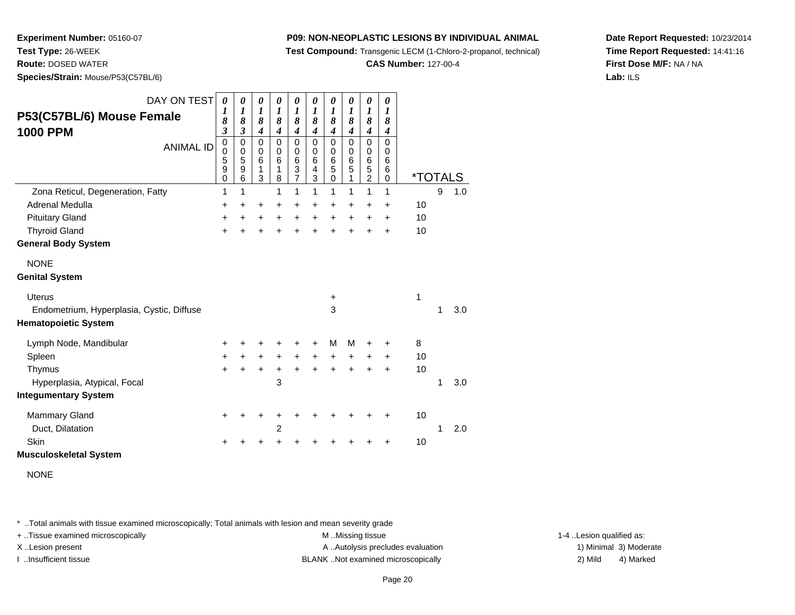**Test Compound:** Transgenic LECM (1-Chloro-2-propanol, technical)

**CAS Number:** 127-00-4

**Date Report Requested:** 10/23/2014**Time Report Requested:** 14:41:16**First Dose M/F:** NA / NA**Lab:** ILS

**Experiment Number:** 05160-07**Test Type:** 26-WEEK**Route:** DOSED WATER

**Species/Strain:** Mouse/P53(C57BL/6)

| DAY ON TEST<br>P53(C57BL/6) Mouse Female<br><b>1000 PPM</b><br><b>ANIMAL ID</b>                                                   | 0<br>$\boldsymbol{l}$<br>8<br>$\overline{\mathbf{3}}$<br>$\mathbf 0$<br>$\boldsymbol{0}$<br>5<br>9<br>$\mathbf 0$ | $\boldsymbol{\theta}$<br>$\boldsymbol{l}$<br>8<br>$\mathfrak{z}$<br>0<br>$\mathbf 0$<br>$\,$ 5 $\,$<br>$\boldsymbol{9}$<br>$6\phantom{1}$ | 0<br>$\boldsymbol{l}$<br>8<br>$\boldsymbol{4}$<br>$\mathbf 0$<br>$\mathbf 0$<br>6<br>$\mathbf{1}$<br>3 | 0<br>$\boldsymbol{l}$<br>8<br>$\boldsymbol{4}$<br>$\mathbf 0$<br>$\mathbf 0$<br>6<br>1<br>8 | 0<br>$\boldsymbol{l}$<br>8<br>$\boldsymbol{4}$<br>0<br>$\mathbf 0$<br>6<br>$\frac{3}{7}$ | $\boldsymbol{\theta}$<br>$\boldsymbol{l}$<br>8<br>$\boldsymbol{4}$<br>$\mathbf 0$<br>$\mathbf 0$<br>6<br>4<br>3 | 0<br>$\boldsymbol{l}$<br>8<br>$\boldsymbol{4}$<br>$\mathbf 0$<br>$\,0\,$<br>$\,6$<br>5<br>$\mathbf 0$ | $\pmb{\theta}$<br>$\boldsymbol{l}$<br>8<br>$\boldsymbol{4}$<br>$\mathbf 0$<br>$\mathbf 0$<br>6<br>5<br>1 | 0<br>$\boldsymbol{l}$<br>8<br>$\boldsymbol{4}$<br>$\mathbf 0$<br>$\mathbf 0$<br>$\,6$<br>$\frac{5}{2}$ | 0<br>$\boldsymbol{l}$<br>8<br>$\boldsymbol{4}$<br>0<br>$\Omega$<br>6<br>6<br>0 | <i><b>*TOTALS</b></i> |   |     |
|-----------------------------------------------------------------------------------------------------------------------------------|-------------------------------------------------------------------------------------------------------------------|-------------------------------------------------------------------------------------------------------------------------------------------|--------------------------------------------------------------------------------------------------------|---------------------------------------------------------------------------------------------|------------------------------------------------------------------------------------------|-----------------------------------------------------------------------------------------------------------------|-------------------------------------------------------------------------------------------------------|----------------------------------------------------------------------------------------------------------|--------------------------------------------------------------------------------------------------------|--------------------------------------------------------------------------------|-----------------------|---|-----|
| Zona Reticul, Degeneration, Fatty                                                                                                 | 1                                                                                                                 | 1                                                                                                                                         |                                                                                                        | 1                                                                                           | 1                                                                                        | 1                                                                                                               | 1                                                                                                     | 1                                                                                                        | 1                                                                                                      | 1                                                                              |                       | 9 | 1.0 |
| Adrenal Medulla                                                                                                                   | +                                                                                                                 | $\ddot{}$                                                                                                                                 | +                                                                                                      | +                                                                                           | +                                                                                        | +                                                                                                               | $\ddot{}$                                                                                             | +                                                                                                        | +                                                                                                      | +                                                                              | 10                    |   |     |
| <b>Pituitary Gland</b>                                                                                                            | +                                                                                                                 | $\ddot{}$                                                                                                                                 | +                                                                                                      | $\ddot{}$                                                                                   | $\ddot{}$                                                                                | $\ddot{}$                                                                                                       | $\ddot{}$                                                                                             | $\ddot{}$                                                                                                | $\ddot{}$                                                                                              | $\ddot{}$                                                                      | 10                    |   |     |
| <b>Thyroid Gland</b>                                                                                                              | $\ddot{}$                                                                                                         |                                                                                                                                           | ÷                                                                                                      | $\ddot{}$                                                                                   | $\ddot{}$                                                                                | $\ddot{}$                                                                                                       | $\ddot{}$                                                                                             | $\ddot{}$                                                                                                | $\ddot{}$                                                                                              | $\ddot{}$                                                                      | 10                    |   |     |
| <b>General Body System</b>                                                                                                        |                                                                                                                   |                                                                                                                                           |                                                                                                        |                                                                                             |                                                                                          |                                                                                                                 |                                                                                                       |                                                                                                          |                                                                                                        |                                                                                |                       |   |     |
| <b>NONE</b><br><b>Genital System</b><br><b>Uterus</b><br>Endometrium, Hyperplasia, Cystic, Diffuse<br><b>Hematopoietic System</b> |                                                                                                                   |                                                                                                                                           |                                                                                                        |                                                                                             |                                                                                          |                                                                                                                 | +<br>3                                                                                                |                                                                                                          |                                                                                                        |                                                                                | 1                     | 1 | 3.0 |
| Lymph Node, Mandibular                                                                                                            | +                                                                                                                 |                                                                                                                                           |                                                                                                        |                                                                                             | +                                                                                        | +                                                                                                               | м                                                                                                     | M                                                                                                        | +                                                                                                      |                                                                                | 8                     |   |     |
| Spleen                                                                                                                            | +                                                                                                                 |                                                                                                                                           | $\ddot{}$                                                                                              | $+$                                                                                         | $\ddot{}$                                                                                | $+$                                                                                                             | $\ddot{}$                                                                                             | $\ddot{}$                                                                                                | $\pm$                                                                                                  | $\ddot{}$                                                                      | 10                    |   |     |
| Thymus                                                                                                                            | $\ddot{}$                                                                                                         |                                                                                                                                           | $\ddot{}$                                                                                              | +                                                                                           | $\ddot{}$                                                                                | $\ddot{}$                                                                                                       | $+$                                                                                                   | $+$                                                                                                      | $\ddot{}$                                                                                              | $\ddot{}$                                                                      | 10                    |   |     |
| Hyperplasia, Atypical, Focal                                                                                                      |                                                                                                                   |                                                                                                                                           |                                                                                                        | 3                                                                                           |                                                                                          |                                                                                                                 |                                                                                                       |                                                                                                          |                                                                                                        |                                                                                |                       | 1 | 3.0 |
| <b>Integumentary System</b>                                                                                                       |                                                                                                                   |                                                                                                                                           |                                                                                                        |                                                                                             |                                                                                          |                                                                                                                 |                                                                                                       |                                                                                                          |                                                                                                        |                                                                                |                       |   |     |
| <b>Mammary Gland</b><br>Duct, Dilatation<br>Skin                                                                                  | +<br>+                                                                                                            |                                                                                                                                           |                                                                                                        | +<br>$\overline{c}$                                                                         | +<br>+                                                                                   |                                                                                                                 |                                                                                                       |                                                                                                          | ٠                                                                                                      | ÷                                                                              | 10<br>10              | 1 | 2.0 |
| <b>Musculoskeletal System</b>                                                                                                     |                                                                                                                   |                                                                                                                                           |                                                                                                        |                                                                                             |                                                                                          |                                                                                                                 |                                                                                                       |                                                                                                          |                                                                                                        |                                                                                |                       |   |     |

NONE

\* ..Total animals with tissue examined microscopically; Total animals with lesion and mean severity grade

+ ..Tissue examined microscopically examined microscopically examined as:  $M$  ..Missing tissue 1-4 ..Lesion qualified as: X..Lesion present **A ..Autolysis precludes evaluation** A ..Autolysis precludes evaluation 1) Minimal 3) Moderate

I ..Insufficient tissue BLANK ..Not examined microscopically 2) Mild 4) Marked